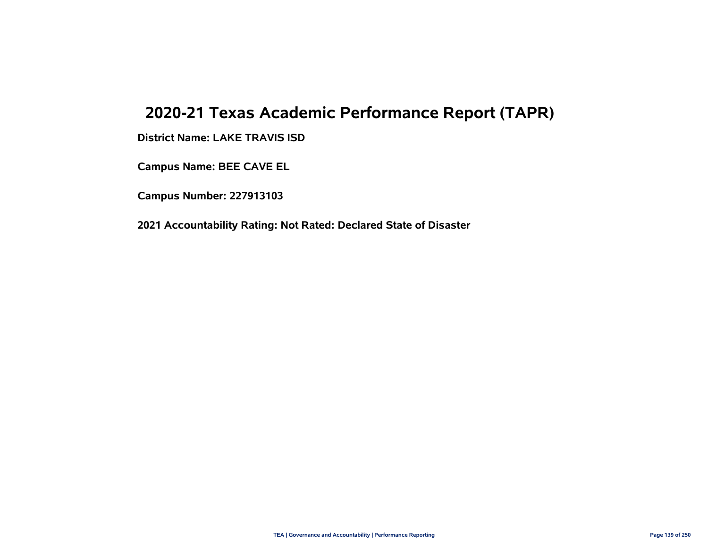# **2020-21 Texas Academic Performance Report (TAPR)**

**District Name: LAKE TRAVIS ISD**

**Campus Name: BEE CAVE EL**

**Campus Number: 227913103**

**2021 Accountability Rating: Not Rated: Declared State of Disaster**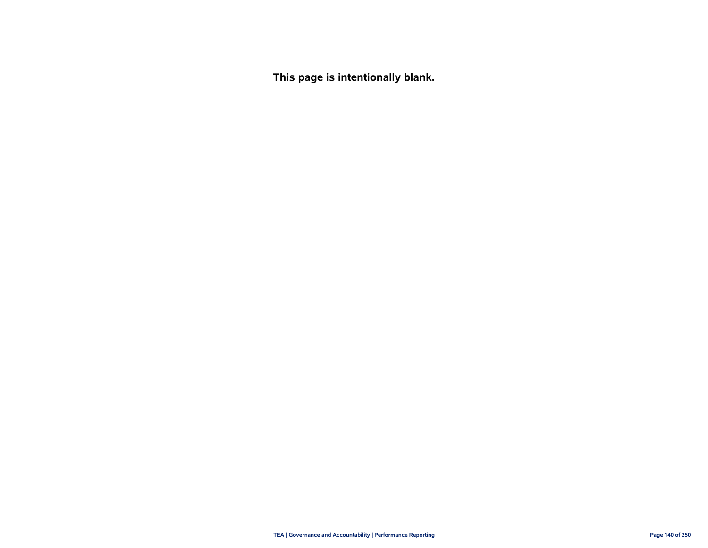**This page is intentionally blank.**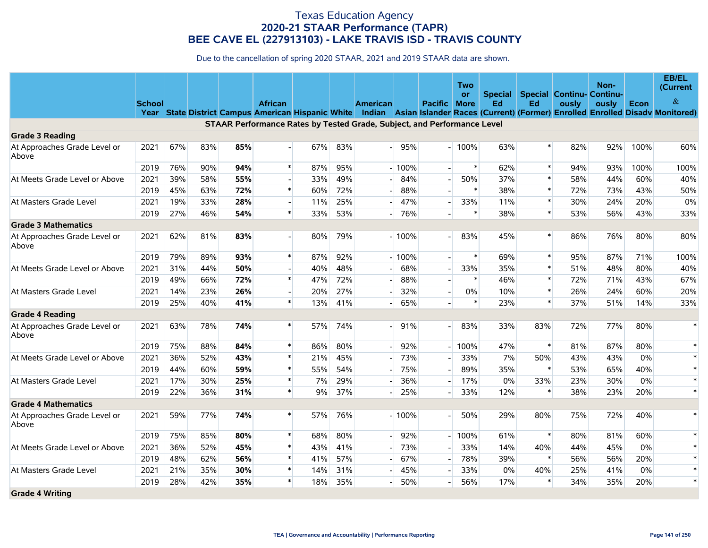|                                       |               |     |     |     |                          |     |     |                                                                         |         |                     | Two       |                |        |                                  | Non-  |      | EB/EL<br>(Current                                                                                                                     |
|---------------------------------------|---------------|-----|-----|-----|--------------------------|-----|-----|-------------------------------------------------------------------------|---------|---------------------|-----------|----------------|--------|----------------------------------|-------|------|---------------------------------------------------------------------------------------------------------------------------------------|
|                                       |               |     |     |     |                          |     |     |                                                                         |         |                     | <b>or</b> | <b>Special</b> |        | <b>Special Continu- Continu-</b> |       |      | $\&$                                                                                                                                  |
|                                       | <b>School</b> |     |     |     | <b>African</b>           |     |     | <b>American</b>                                                         |         | <b>Pacific</b> More |           | Ed             | Ed     | ously                            | ously | Econ | Year State District Campus American Hispanic White Indian Asian Islander Races (Current) (Former) Enrolled Enrolled Disady Monitored) |
|                                       |               |     |     |     |                          |     |     | STAAR Performance Rates by Tested Grade, Subject, and Performance Level |         |                     |           |                |        |                                  |       |      |                                                                                                                                       |
| <b>Grade 3 Reading</b>                |               |     |     |     |                          |     |     |                                                                         |         |                     |           |                |        |                                  |       |      |                                                                                                                                       |
| At Approaches Grade Level or<br>Above | 2021          | 67% | 83% | 85% | $\blacksquare$           | 67% | 83% | $\Box$                                                                  | 95%     |                     | 100%      | 63%            | $\ast$ | 82%                              | 92%   | 100% | 60%                                                                                                                                   |
|                                       | 2019          | 76% | 90% | 94% | $\ast$                   | 87% | 95% |                                                                         | $-100%$ |                     | $\ast$    | 62%            | $\ast$ | 94%                              | 93%   | 100% | 100%                                                                                                                                  |
| At Meets Grade Level or Above         | 2021          | 39% | 58% | 55% | $\overline{\phantom{a}}$ | 33% | 49% |                                                                         | 84%     |                     | 50%       | 37%            | $\ast$ | 58%                              | 44%   | 60%  | 40%                                                                                                                                   |
|                                       | 2019          | 45% | 63% | 72% | $\ast$                   | 60% | 72% |                                                                         | 88%     |                     | $\ast$    | 38%            | $\ast$ | 72%                              | 73%   | 43%  | 50%                                                                                                                                   |
| At Masters Grade Level                | 2021          | 19% | 33% | 28% | $\overline{\phantom{a}}$ | 11% | 25% |                                                                         | 47%     | $\overline{a}$      | 33%       | 11%            | $\ast$ | 30%                              | 24%   | 20%  | 0%                                                                                                                                    |
|                                       | 2019          | 27% | 46% | 54% | $\ast$                   | 33% | 53% |                                                                         | 76%     |                     | $\ast$    | 38%            | $\ast$ | 53%                              | 56%   | 43%  | 33%                                                                                                                                   |
| <b>Grade 3 Mathematics</b>            |               |     |     |     |                          |     |     |                                                                         |         |                     |           |                |        |                                  |       |      |                                                                                                                                       |
| At Approaches Grade Level or<br>Above | 2021          | 62% | 81% | 83% | $\overline{a}$           | 80% | 79% |                                                                         | $-100%$ |                     | 83%       | 45%            | $\ast$ | 86%                              | 76%   | 80%  | 80%                                                                                                                                   |
|                                       | 2019          | 79% | 89% | 93% | $\pmb{\ast}$             | 87% | 92% |                                                                         | $-100%$ |                     | $\ast$    | 69%            | $\ast$ | 95%                              | 87%   | 71%  | 100%                                                                                                                                  |
| At Meets Grade Level or Above         | 2021          | 31% | 44% | 50% |                          | 40% | 48% |                                                                         | 68%     |                     | 33%       | 35%            | $\ast$ | 51%                              | 48%   | 80%  | 40%                                                                                                                                   |
|                                       | 2019          | 49% | 66% | 72% | $\ast$                   | 47% | 72% |                                                                         | 88%     |                     | $\ast$    | 46%            | $\ast$ | 72%                              | 71%   | 43%  | 67%                                                                                                                                   |
| At Masters Grade Level                | 2021          | 14% | 23% | 26% | $\overline{\phantom{a}}$ | 20% | 27% |                                                                         | 32%     |                     | $0\%$     | 10%            | $\ast$ | 26%                              | 24%   | 60%  | 20%                                                                                                                                   |
|                                       | 2019          | 25% | 40% | 41% | $\ast$                   | 13% | 41% |                                                                         | 65%     |                     | $\ast$    | 23%            | $\ast$ | 37%                              | 51%   | 14%  | 33%                                                                                                                                   |
| <b>Grade 4 Reading</b>                |               |     |     |     |                          |     |     |                                                                         |         |                     |           |                |        |                                  |       |      |                                                                                                                                       |
| At Approaches Grade Level or<br>Above | 2021          | 63% | 78% | 74% | $\ast$                   | 57% | 74% | $\overline{\phantom{a}}$                                                | 91%     |                     | 83%       | 33%            | 83%    | 72%                              | 77%   | 80%  | $\ast$                                                                                                                                |
|                                       | 2019          | 75% | 88% | 84% | $\pmb{\ast}$             | 86% | 80% | $\overline{\phantom{a}}$                                                | 92%     |                     | 100%      | 47%            | $\ast$ | 81%                              | 87%   | 80%  | $\ast$                                                                                                                                |
| At Meets Grade Level or Above         | 2021          | 36% | 52% | 43% | $\pmb{\ast}$             | 21% | 45% |                                                                         | 73%     |                     | 33%       | 7%             | 50%    | 43%                              | 43%   | 0%   | $\ast$                                                                                                                                |
|                                       | 2019          | 44% | 60% | 59% | $\pmb{\ast}$             | 55% | 54% |                                                                         | 75%     |                     | 89%       | 35%            | $\ast$ | 53%                              | 65%   | 40%  | $\ast$                                                                                                                                |
| At Masters Grade Level                | 2021          | 17% | 30% | 25% | $\ast$                   | 7%  | 29% |                                                                         | 36%     |                     | 17%       | $0\%$          | 33%    | 23%                              | 30%   | 0%   | $\ast$                                                                                                                                |
|                                       | 2019          | 22% | 36% | 31% | $\ast$                   | 9%  | 37% |                                                                         | 25%     |                     | 33%       | 12%            | $\ast$ | 38%                              | 23%   | 20%  | $\ast$                                                                                                                                |
| <b>Grade 4 Mathematics</b>            |               |     |     |     |                          |     |     |                                                                         |         |                     |           |                |        |                                  |       |      |                                                                                                                                       |
| At Approaches Grade Level or<br>Above | 2021          | 59% | 77% | 74% | $\ast$                   | 57% | 76% |                                                                         | $-100%$ |                     | 50%       | 29%            | 80%    | 75%                              | 72%   | 40%  | $\ast$                                                                                                                                |
|                                       | 2019          | 75% | 85% | 80% | $\ast$                   | 68% | 80% | $\overline{\phantom{a}}$                                                | 92%     | $\sim$              | 100%      | 61%            | $\ast$ | 80%                              | 81%   | 60%  | $\ast$                                                                                                                                |
| At Meets Grade Level or Above         | 2021          | 36% | 52% | 45% | $\ast$                   | 43% | 41% |                                                                         | 73%     |                     | 33%       | 14%            | 40%    | 44%                              | 45%   | 0%   | $\ast$                                                                                                                                |
|                                       | 2019          | 48% | 62% | 56% | $\ast$                   | 41% | 57% |                                                                         | 67%     |                     | 78%       | 39%            | $\ast$ | 56%                              | 56%   | 20%  | $\ast$                                                                                                                                |
| At Masters Grade Level                | 2021          | 21% | 35% | 30% | $\ast$                   | 14% | 31% |                                                                         | 45%     |                     | 33%       | $0\%$          | 40%    | 25%                              | 41%   | 0%   | $\ast$                                                                                                                                |
|                                       | 2019          | 28% | 42% | 35% | $\ast$                   | 18% | 35% |                                                                         | 50%     |                     | 56%       | 17%            | $\ast$ | 34%                              | 35%   | 20%  | $\ast$                                                                                                                                |
| <b>Grade 4 Writing</b>                |               |     |     |     |                          |     |     |                                                                         |         |                     |           |                |        |                                  |       |      |                                                                                                                                       |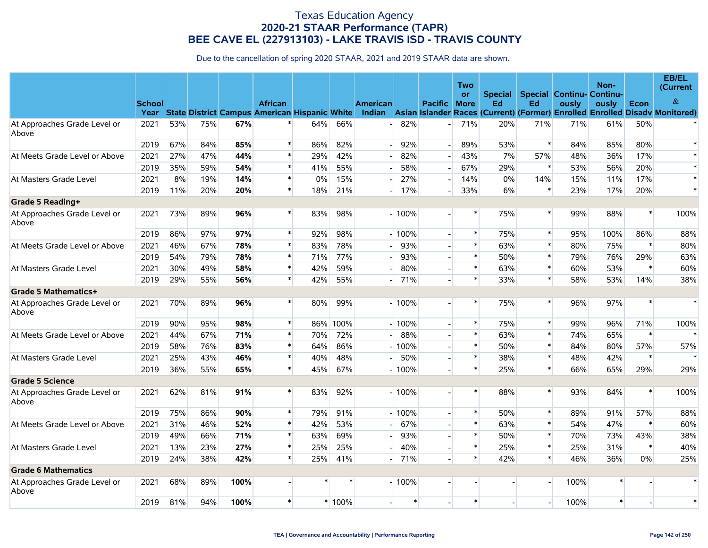|                                       |               |     |     |      |                |     |          |                 |         |                          | <b>Two</b>               |                 |        |       | Non-                                      |        | EB/EL<br>(Current                                                                                                                             |
|---------------------------------------|---------------|-----|-----|------|----------------|-----|----------|-----------------|---------|--------------------------|--------------------------|-----------------|--------|-------|-------------------------------------------|--------|-----------------------------------------------------------------------------------------------------------------------------------------------|
|                                       | <b>School</b> |     |     |      | <b>African</b> |     |          | <b>American</b> |         | <b>Pacific</b>           | <b>or</b><br><b>More</b> | Special  <br>Ed | Ed     | ously | <b>Special Continu- Continu-</b><br>ously | Econ   | $\&$<br>Year State District Campus American Hispanic White Indian Asian Islander Races (Current) (Former) Enrolled Enrolled Disady Monitored) |
| At Approaches Grade Level or<br>Above | 2021          | 53% | 75% | 67%  |                | 64% | 66%      |                 | 82%     |                          | 71%                      | 20%             | 71%    | 71%   | 61%                                       | 50%    |                                                                                                                                               |
|                                       | 2019          | 67% | 84% | 85%  | $\ast$         | 86% | 82%      |                 | 92%     |                          | 89%                      | 53%             | $\ast$ | 84%   | 85%                                       | 80%    | $\ast$                                                                                                                                        |
| At Meets Grade Level or Above         | 2021          | 27% | 47% | 44%  | $\ast$         | 29% | 42%      |                 | 82%     |                          | 43%                      | 7%              | 57%    | 48%   | 36%                                       | 17%    | $\ast$                                                                                                                                        |
|                                       | 2019          | 35% | 59% | 54%  | $\ast$         | 41% | 55%      |                 | 58%     |                          | 67%                      | 29%             | $\ast$ | 53%   | 56%                                       | 20%    | $\ast$                                                                                                                                        |
| At Masters Grade Level                | 2021          | 8%  | 19% | 14%  | $\ast$         | 0%  | 15%      |                 | 27%     |                          | 14%                      | 0%              | 14%    | 15%   | 11%                                       | 17%    | $\ast$                                                                                                                                        |
|                                       | 2019          | 11% | 20% | 20%  | $\ast$         | 18% | 21%      |                 | 17%     |                          | 33%                      | 6%              | $\ast$ | 23%   | 17%                                       | 20%    | $\ast$                                                                                                                                        |
| Grade 5 Reading+                      |               |     |     |      |                |     |          |                 |         |                          |                          |                 |        |       |                                           |        |                                                                                                                                               |
| At Approaches Grade Level or<br>Above | 2021          | 73% | 89% | 96%  | $\ast$         | 83% | 98%      |                 | $-100%$ |                          |                          | 75%             | $\ast$ | 99%   | 88%                                       |        | 100%                                                                                                                                          |
|                                       | 2019          | 86% | 97% | 97%  | $\ast$         | 92% | 98%      |                 | $-100%$ |                          | $\ast$                   | 75%             | $\ast$ | 95%   | 100%                                      | 86%    | 88%                                                                                                                                           |
| At Meets Grade Level or Above         | 2021          | 46% | 67% | 78%  | $\ast$         | 83% | 78%      |                 | 93%     |                          | $\ast$                   | 63%             | $\ast$ | 80%   | 75%                                       | $\ast$ | 80%                                                                                                                                           |
|                                       | 2019          | 54% | 79% | 78%  | $\ast$         | 71% | 77%      |                 | 93%     |                          | $\ast$                   | 50%             | $\ast$ | 79%   | 76%                                       | 29%    | 63%                                                                                                                                           |
| At Masters Grade Level                | 2021          | 30% | 49% | 58%  | $\ast$         | 42% | 59%      |                 | 80%     |                          | $\ast$                   | 63%             | $\ast$ | 60%   | 53%                                       | $\ast$ | 60%                                                                                                                                           |
|                                       | 2019          | 29% | 55% | 56%  | $\ast$         | 42% | 55%      |                 | 71%     |                          | $\ast$                   | 33%             | $\ast$ | 58%   | 53%                                       | 14%    | 38%                                                                                                                                           |
| <b>Grade 5 Mathematics+</b>           |               |     |     |      |                |     |          |                 |         |                          |                          |                 |        |       |                                           |        |                                                                                                                                               |
| At Approaches Grade Level or<br>Above | 2021          | 70% | 89% | 96%  | $\pmb{\ast}$   | 80% | 99%      |                 | - 100%  |                          | $\ast$                   | 75%             | $\ast$ | 96%   | 97%                                       | $\ast$ | $\ast$                                                                                                                                        |
|                                       | 2019          | 90% | 95% | 98%  | $\ast$         |     | 86% 100% |                 | $-100%$ |                          | $\ast$                   | 75%             | $\ast$ | 99%   | 96%                                       | 71%    | 100%                                                                                                                                          |
| At Meets Grade Level or Above         | 2021          | 44% | 67% | 71%  | $\ast$         | 70% | 72%      |                 | 88%     |                          | $\ast$                   | 63%             | $\ast$ | 74%   | 65%                                       | $\ast$ | $\ast$                                                                                                                                        |
|                                       | 2019          | 58% | 76% | 83%  | $\ast$         | 64% | 86%      |                 | $-100%$ |                          | $\ast$                   | 50%             | $\ast$ | 84%   | 80%                                       | 57%    | 57%                                                                                                                                           |
| At Masters Grade Level                | 2021          | 25% | 43% | 46%  | $\pmb{\ast}$   | 40% | 48%      |                 | 50%     |                          | $\ast$                   | 38%             | $\ast$ | 48%   | 42%                                       | $\ast$ | $\ast$                                                                                                                                        |
|                                       | 2019          | 36% | 55% | 65%  | $\ast$         | 45% | 67%      |                 | $-100%$ |                          | $\ast$                   | 25%             | $\ast$ | 66%   | 65%                                       | 29%    | 29%                                                                                                                                           |
| <b>Grade 5 Science</b>                |               |     |     |      |                |     |          |                 |         |                          |                          |                 |        |       |                                           |        |                                                                                                                                               |
| At Approaches Grade Level or<br>Above | 2021          | 62% | 81% | 91%  | $\ast$         | 83% | 92%      |                 | - 100%  |                          |                          | 88%             | $\ast$ | 93%   | 84%                                       | $\ast$ | 100%                                                                                                                                          |
|                                       | 2019          | 75% | 86% | 90%  | $\ast$         | 79% | 91%      |                 | $-100%$ | $\overline{\phantom{a}}$ | $\ast$                   | 50%             | $\ast$ | 89%   | 91%                                       | 57%    | 88%                                                                                                                                           |
| At Meets Grade Level or Above         | 2021          | 31% | 46% | 52%  | $\ast$         | 42% | 53%      |                 | 67%     |                          | $\ast$                   | 63%             | $\ast$ | 54%   | 47%                                       | $\ast$ | 60%                                                                                                                                           |
|                                       | 2019          | 49% | 66% | 71%  | $\ast$         | 63% | 69%      |                 | 93%     |                          | $\ast$                   | 50%             | $\ast$ | 70%   | 73%                                       | 43%    | 38%                                                                                                                                           |
| At Masters Grade Level                | 2021          | 13% | 23% | 27%  | $\ast$         | 25% | 25%      |                 | 40%     |                          | $\ast$                   | 25%             | $\ast$ | 25%   | 31%                                       | $\ast$ | 40%                                                                                                                                           |
|                                       | 2019          | 24% | 38% | 42%  | $\ast$         | 25% | 41%      |                 | 71%     |                          | $\ast$                   | 42%             | $\ast$ | 46%   | 36%                                       | 0%     | 25%                                                                                                                                           |
| <b>Grade 6 Mathematics</b>            |               |     |     |      |                |     |          |                 |         |                          |                          |                 |        |       |                                           |        |                                                                                                                                               |
| At Approaches Grade Level or<br>Above | 2021          | 68% | 89% | 100% | $\overline{a}$ |     |          |                 | $-100%$ |                          |                          |                 |        | 100%  | $\ast$                                    |        | $\ast$                                                                                                                                        |
|                                       | 2019          | 81% | 94% | 100% | $\ast$         |     | * 100%   |                 | $\ast$  |                          | $\ast$                   |                 |        | 100%  | $\ast$                                    |        | $\ast$                                                                                                                                        |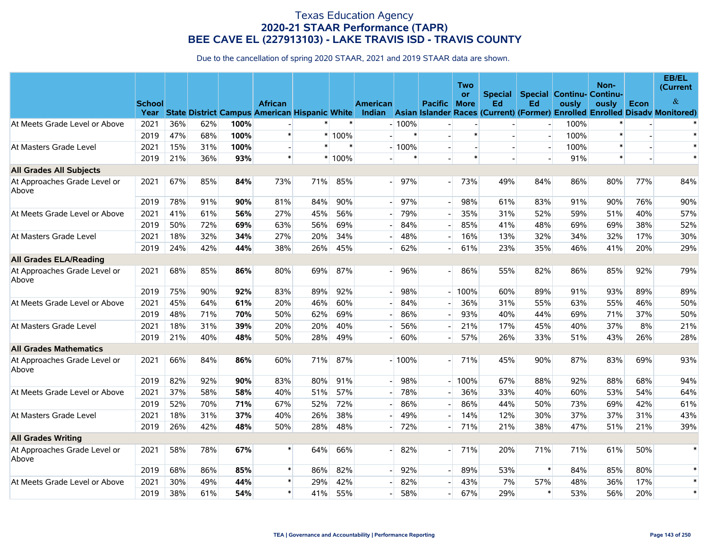|                                       |               |     |     |      |                                                    |     |         |                          |         |                | Two                      |               |        |                                           | Non-   |      | EB/EL<br>(Current                                                                  |
|---------------------------------------|---------------|-----|-----|------|----------------------------------------------------|-----|---------|--------------------------|---------|----------------|--------------------------|---------------|--------|-------------------------------------------|--------|------|------------------------------------------------------------------------------------|
|                                       | <b>School</b> |     |     |      | <b>African</b>                                     |     |         | <b>American</b>          |         | <b>Pacific</b> | <b>or</b><br><b>More</b> | Special<br>Ed | Ed     | <b>Special Continu- Continu-</b><br>ously | ously  | Econ | $\&$                                                                               |
|                                       |               |     |     |      | Year State District Campus American Hispanic White |     |         |                          |         |                |                          |               |        |                                           |        |      | Indian Asian Islander Races (Current) (Former) Enrolled Enrolled Disady Monitored) |
| At Meets Grade Level or Above         | 2021          | 36% | 62% | 100% |                                                    |     |         |                          | $-100%$ |                |                          |               |        | 100%                                      |        |      |                                                                                    |
|                                       | 2019          | 47% | 68% | 100% | $\ast$                                             |     | * 100%  |                          | $\ast$  |                | $\ast$                   |               |        | 100%                                      | $\ast$ |      | $\ast$                                                                             |
| At Masters Grade Level                | 2021          | 15% | 31% | 100% |                                                    |     | $\ast$  |                          | $-100%$ |                |                          |               |        | 100%                                      | $\ast$ |      | $\ast$                                                                             |
|                                       | 2019          | 21% | 36% | 93%  | $\ast$                                             |     | $*100%$ |                          | $\ast$  |                | $\ast$                   |               |        | 91%                                       | $\ast$ |      | $\ast$                                                                             |
| <b>All Grades All Subjects</b>        |               |     |     |      |                                                    |     |         |                          |         |                |                          |               |        |                                           |        |      |                                                                                    |
| At Approaches Grade Level or<br>Above | 2021          | 67% | 85% | 84%  | 73%                                                | 71% | 85%     | $\overline{\phantom{a}}$ | 97%     |                | 73%                      | 49%           | 84%    | 86%                                       | 80%    | 77%  | 84%                                                                                |
|                                       | 2019          | 78% | 91% | 90%  | 81%                                                | 84% | 90%     |                          | 97%     |                | 98%                      | 61%           | 83%    | 91%                                       | 90%    | 76%  | 90%                                                                                |
| At Meets Grade Level or Above         | 2021          | 41% | 61% | 56%  | 27%                                                | 45% | 56%     |                          | 79%     |                | 35%                      | 31%           | 52%    | 59%                                       | 51%    | 40%  | 57%                                                                                |
|                                       | 2019          | 50% | 72% | 69%  | 63%                                                | 56% | 69%     |                          | 84%     |                | 85%                      | 41%           | 48%    | 69%                                       | 69%    | 38%  | 52%                                                                                |
| At Masters Grade Level                | 2021          | 18% | 32% | 34%  | 27%                                                | 20% | 34%     |                          | 48%     |                | 16%                      | 13%           | 32%    | 34%                                       | 32%    | 17%  | 30%                                                                                |
|                                       | 2019          | 24% | 42% | 44%  | 38%                                                | 26% | 45%     |                          | 62%     |                | 61%                      | 23%           | 35%    | 46%                                       | 41%    | 20%  | 29%                                                                                |
| <b>All Grades ELA/Reading</b>         |               |     |     |      |                                                    |     |         |                          |         |                |                          |               |        |                                           |        |      |                                                                                    |
| At Approaches Grade Level or<br>Above | 2021          | 68% | 85% | 86%  | 80%                                                | 69% | 87%     | $\overline{\phantom{0}}$ | 96%     |                | 86%                      | 55%           | 82%    | 86%                                       | 85%    | 92%  | 79%                                                                                |
|                                       | 2019          | 75% | 90% | 92%  | 83%                                                | 89% | 92%     |                          | 98%     |                | 100%                     | 60%           | 89%    | 91%                                       | 93%    | 89%  | 89%                                                                                |
| At Meets Grade Level or Above         | 2021          | 45% | 64% | 61%  | 20%                                                | 46% | 60%     |                          | 84%     |                | 36%                      | 31%           | 55%    | 63%                                       | 55%    | 46%  | 50%                                                                                |
|                                       | 2019          | 48% | 71% | 70%  | 50%                                                | 62% | 69%     |                          | 86%     |                | 93%                      | 40%           | 44%    | 69%                                       | 71%    | 37%  | 50%                                                                                |
| At Masters Grade Level                | 2021          | 18% | 31% | 39%  | 20%                                                | 20% | 40%     |                          | 56%     |                | 21%                      | 17%           | 45%    | 40%                                       | 37%    | 8%   | 21%                                                                                |
|                                       | 2019          | 21% | 40% | 48%  | 50%                                                | 28% | 49%     |                          | 60%     |                | 57%                      | 26%           | 33%    | 51%                                       | 43%    | 26%  | 28%                                                                                |
| <b>All Grades Mathematics</b>         |               |     |     |      |                                                    |     |         |                          |         |                |                          |               |        |                                           |        |      |                                                                                    |
| At Approaches Grade Level or<br>Above | 2021          | 66% | 84% | 86%  | 60%                                                | 71% | 87%     |                          | $-100%$ |                | 71%                      | 45%           | 90%    | 87%                                       | 83%    | 69%  | 93%                                                                                |
|                                       | 2019          | 82% | 92% | 90%  | 83%                                                | 80% | 91%     | $\overline{\phantom{a}}$ | 98%     |                | 100%                     | 67%           | 88%    | 92%                                       | 88%    | 68%  | 94%                                                                                |
| At Meets Grade Level or Above         | 2021          | 37% | 58% | 58%  | 40%                                                | 51% | 57%     |                          | 78%     |                | 36%                      | 33%           | 40%    | 60%                                       | 53%    | 54%  | 64%                                                                                |
|                                       | 2019          | 52% | 70% | 71%  | 67%                                                | 52% | 72%     |                          | 86%     |                | 86%                      | 44%           | 50%    | 73%                                       | 69%    | 42%  | 61%                                                                                |
| At Masters Grade Level                | 2021          | 18% | 31% | 37%  | 40%                                                | 26% | 38%     |                          | 49%     |                | 14%                      | 12%           | 30%    | 37%                                       | 37%    | 31%  | 43%                                                                                |
|                                       | 2019          | 26% | 42% | 48%  | 50%                                                | 28% | 48%     |                          | 72%     |                | 71%                      | 21%           | 38%    | 47%                                       | 51%    | 21%  | 39%                                                                                |
| <b>All Grades Writing</b>             |               |     |     |      |                                                    |     |         |                          |         |                |                          |               |        |                                           |        |      |                                                                                    |
| At Approaches Grade Level or<br>Above | 2021          | 58% | 78% | 67%  | $\ast$                                             | 64% | 66%     | $\overline{\phantom{0}}$ | 82%     |                | 71%                      | 20%           | 71%    | 71%                                       | 61%    | 50%  | $\ast$                                                                             |
|                                       | 2019          | 68% | 86% | 85%  | $\ast$                                             | 86% | 82%     |                          | 92%     |                | 89%                      | 53%           | $\ast$ | 84%                                       | 85%    | 80%  | $\ast$                                                                             |
| At Meets Grade Level or Above         | 2021          | 30% | 49% | 44%  | $\ast$                                             | 29% | 42%     |                          | 82%     |                | 43%                      | 7%            | 57%    | 48%                                       | 36%    | 17%  | $\ast$                                                                             |
|                                       | 2019          | 38% | 61% | 54%  | $\ast$                                             | 41% | 55%     |                          | 58%     |                | 67%                      | 29%           | $\ast$ | 53%                                       | 56%    | 20%  | $\ast$                                                                             |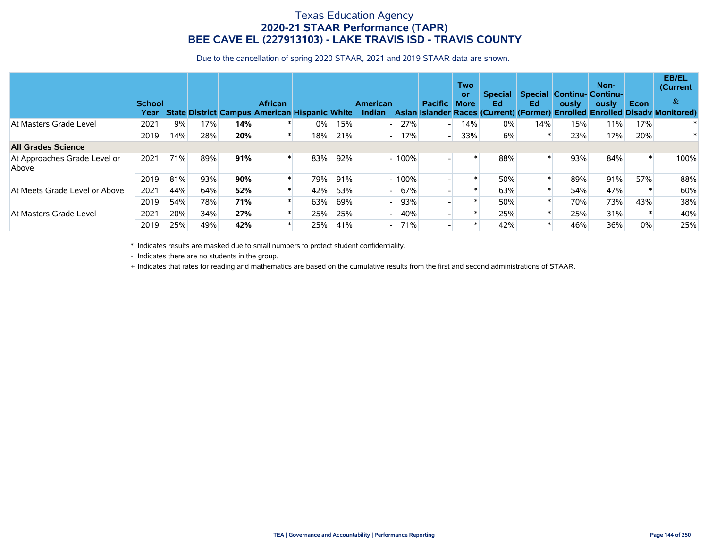Due to the cancellation of spring 2020 STAAR, 2021 and 2019 STAAR data are shown.

|                                       | <b>School</b><br>Year |     |     |     | <b>African</b><br><b>State District Campus American Hispanic White</b> |       |     | <b>American</b><br><b>Indian</b> |         | <b>Pacific</b> | <b>Two</b><br>or<br><b>More</b> | <b>Special</b><br>Ed | <b>Special</b><br>Ed | ously | Non-<br><b>Continu-Continu-</b><br>ously | Econ | <b>EB/EL</b><br>(Current<br>$\alpha$<br>Asian Islander Races (Current) (Former) Enrolled Enrolled Disadv Monitored) |
|---------------------------------------|-----------------------|-----|-----|-----|------------------------------------------------------------------------|-------|-----|----------------------------------|---------|----------------|---------------------------------|----------------------|----------------------|-------|------------------------------------------|------|---------------------------------------------------------------------------------------------------------------------|
| At Masters Grade Level                | 2021                  | 9%  | 17% | 14% |                                                                        | $0\%$ | 15% |                                  | 27%     |                | 14%                             | $0\%$                | 14%                  | 15%⊧  | 11%                                      | 17%  |                                                                                                                     |
|                                       | 2019                  | 14% | 28% | 20% |                                                                        | 18%   | 21% | - 1                              | 17%     |                | 33%                             | 6%                   |                      | 23%   | 17%                                      | 20%  |                                                                                                                     |
| <b>All Grades Science</b>             |                       |     |     |     |                                                                        |       |     |                                  |         |                |                                 |                      |                      |       |                                          |      |                                                                                                                     |
| At Approaches Grade Level or<br>Above | 2021                  | 71% | 89% | 91% |                                                                        | 83%   | 92% |                                  | $-100%$ |                |                                 | 88%                  |                      | 93%   | 84%                                      |      | 100%                                                                                                                |
|                                       | 2019                  | 81% | 93% | 90% |                                                                        | 79%   | 91% |                                  | $-100%$ |                |                                 | 50%                  |                      | 89%   | 91%                                      | 57%  | 88%                                                                                                                 |
| At Meets Grade Level or Above         | 2021                  | 44% | 64% | 52% |                                                                        | 42%   | 53% | - 1                              | 67%     |                |                                 | 63%                  |                      | 54%   | 47%                                      |      | 60%                                                                                                                 |
|                                       | 2019                  | 54% | 78% | 71% |                                                                        | 63%   | 69% | - 1                              | 93%     |                |                                 | 50%                  |                      | 70%   | 73%                                      | 43%  | 38%                                                                                                                 |
| At Masters Grade Level                | 2021                  | 20% | 34% | 27% |                                                                        | 25%   | 25% |                                  | 40%     |                |                                 | 25%                  |                      | 25%   | 31%                                      |      | 40%                                                                                                                 |
|                                       | 2019                  | 25% | 49% | 42% |                                                                        | 25%   | 41% |                                  | 71%     |                |                                 | 42%                  |                      | 46%   | 36%                                      | 0%   | 25%                                                                                                                 |

\* Indicates results are masked due to small numbers to protect student confidentiality.

- Indicates there are no students in the group.

+ Indicates that rates for reading and mathematics are based on the cumulative results from the first and second administrations of STAAR.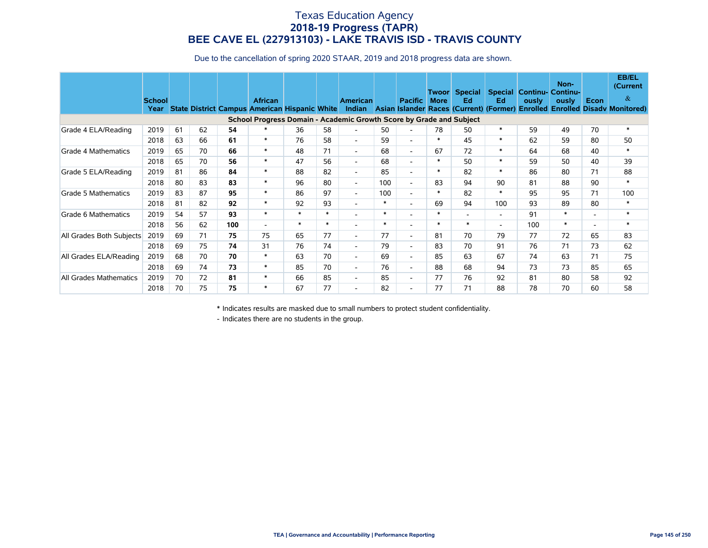Due to the cancellation of spring 2020 STAAR, 2019 and 2018 progress data are shown.

|                          | <b>School</b><br>Year |    |    |     | <b>African</b><br>State District Campus American Hispanic White |        |        | <b>American</b>                                                     |        | <b>Pacific</b>           | <b>Twoor</b><br><b>More</b> | Special<br>Ed | Ed.                      | <b>Special Continu- Continu-</b><br>ously | Non-<br>ously | Econ                     | <b>EB/EL</b><br>(Current<br>$\&$<br>Indian Asian Islander Races (Current) (Former) Enrolled Enrolled Disady Monitored) |
|--------------------------|-----------------------|----|----|-----|-----------------------------------------------------------------|--------|--------|---------------------------------------------------------------------|--------|--------------------------|-----------------------------|---------------|--------------------------|-------------------------------------------|---------------|--------------------------|------------------------------------------------------------------------------------------------------------------------|
|                          |                       |    |    |     |                                                                 |        |        | School Progress Domain - Academic Growth Score by Grade and Subject |        |                          |                             |               |                          |                                           |               |                          |                                                                                                                        |
| Grade 4 ELA/Reading      | 2019                  | 61 | 62 | 54  |                                                                 | 36     | 58     | $\overline{\phantom{a}}$                                            | 50     |                          | 78                          | 50            | $\ast$                   | 59                                        | 49            | 70                       | $\ast$                                                                                                                 |
|                          | 2018                  | 63 | 66 | 61  | $\ast$                                                          | 76     | 58     | $\sim$                                                              | 59     | $\overline{\phantom{a}}$ | $\ast$                      | 45            | $\ast$                   | 62                                        | 59            | 80                       | 50                                                                                                                     |
| Grade 4 Mathematics      | 2019                  | 65 | 70 | 66  | $\ast$                                                          | 48     | 71     | $\sim$                                                              | 68     | $\overline{\phantom{a}}$ | 67                          | 72            | $\ast$                   | 64                                        | 68            | 40                       | $\ast$                                                                                                                 |
|                          | 2018                  | 65 | 70 | 56  | $\ast$                                                          | 47     | 56     | $\overline{\phantom{a}}$                                            | 68     | $\overline{\phantom{a}}$ | $\ast$                      | 50            | $\ast$                   | 59                                        | 50            | 40                       | 39                                                                                                                     |
| Grade 5 ELA/Reading      | 2019                  | 81 | 86 | 84  | $\ast$                                                          | 88     | 82     | $\overline{\phantom{a}}$                                            | 85     | $\overline{\phantom{a}}$ | $\ast$                      | 82            | $\ast$                   | 86                                        | 80            | 71                       | 88                                                                                                                     |
|                          | 2018                  | 80 | 83 | 83  | $\ast$                                                          | 96     | 80     | $\overline{\phantom{a}}$                                            | 100    | $\overline{\phantom{a}}$ | 83                          | 94            | 90                       | 81                                        | 88            | 90                       | $\ast$                                                                                                                 |
| Grade 5 Mathematics      | 2019                  | 83 | 87 | 95  | $\ast$                                                          | 86     | 97     | $\sim$                                                              | 100    | $\overline{\phantom{a}}$ | $\ast$                      | 82            | $\ast$                   | 95                                        | 95            | 71                       | 100                                                                                                                    |
|                          | 2018                  | 81 | 82 | 92  | $\ast$                                                          | 92     | 93     | $\overline{\phantom{a}}$                                            | $\ast$ | $\overline{\phantom{a}}$ | 69                          | 94            | 100                      | 93                                        | 89            | 80                       | $\ast$                                                                                                                 |
| Grade 6 Mathematics      | 2019                  | 54 | 57 | 93  | $\ast$                                                          | $\ast$ | $\ast$ | $\overline{a}$                                                      | $\ast$ | $\overline{\phantom{a}}$ | $\ast$                      |               | $\overline{\phantom{a}}$ | 91                                        | $\ast$        | $\overline{\phantom{0}}$ | $\ast$                                                                                                                 |
|                          | 2018                  | 56 | 62 | 100 | $\overline{\phantom{a}}$                                        | $\ast$ | $\ast$ | $\overline{\phantom{a}}$                                            | $*$    | $\overline{\phantom{a}}$ | $\ast$                      | $\ast$        | $\overline{\phantom{a}}$ | 100                                       | $\ast$        | $\overline{\phantom{0}}$ | $\ast$                                                                                                                 |
| All Grades Both Subjects | 2019                  | 69 | 71 | 75  | 75                                                              | 65     | 77     | $\overline{\phantom{a}}$                                            | 77     | $\overline{\phantom{a}}$ | 81                          | 70            | 79                       | 77                                        | 72            | 65                       | 83                                                                                                                     |
|                          | 2018                  | 69 | 75 | 74  | 31                                                              | 76     | 74     | $\overline{\phantom{a}}$                                            | 79     | $\overline{\phantom{a}}$ | 83                          | 70            | 91                       | 76                                        | 71            | 73                       | 62                                                                                                                     |
| All Grades ELA/Reading   | 2019                  | 68 | 70 | 70  | $\ast$                                                          | 63     | 70     | $\overline{\phantom{a}}$                                            | 69     | $\overline{a}$           | 85                          | 63            | 67                       | 74                                        | 63            | 71                       | 75                                                                                                                     |
|                          | 2018                  | 69 | 74 | 73  | $\ast$                                                          | 85     | 70     | $\overline{\phantom{a}}$                                            | 76     | $\overline{a}$           | 88                          | 68            | 94                       | 73                                        | 73            | 85                       | 65                                                                                                                     |
| All Grades Mathematics   | 2019                  | 70 | 72 | 81  | $\ast$                                                          | 66     | 85     | $\overline{\phantom{a}}$                                            | 85     | $\overline{\phantom{a}}$ | 77                          | 76            | 92                       | 81                                        | 80            | 58                       | 92                                                                                                                     |
|                          | 2018                  | 70 | 75 | 75  | $\ast$                                                          | 67     | 77     | $\overline{\phantom{a}}$                                            | 82     | $\overline{\phantom{a}}$ | 77                          | 71            | 88                       | 78                                        | 70            | 60                       | 58                                                                                                                     |

\* Indicates results are masked due to small numbers to protect student confidentiality.

- Indicates there are no students in the group.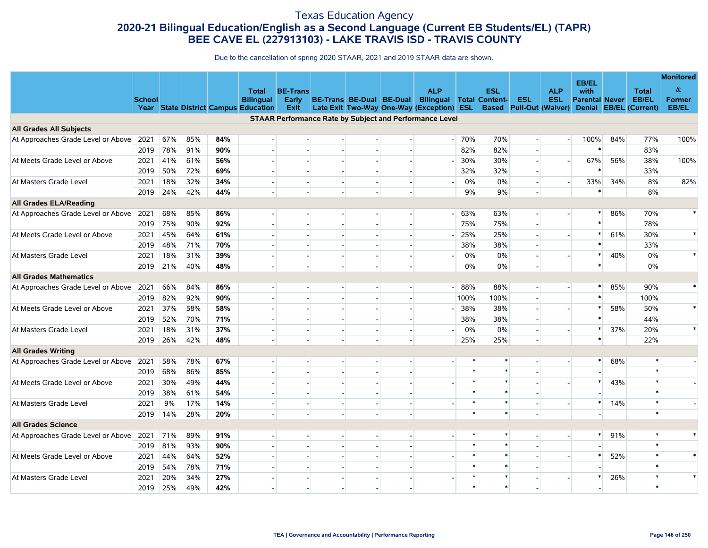# Texas Education Agency **2020-21 Bilingual Education/English as a Second Language (Current EB Students/EL) (TAPR) BEE CAVE EL (227913103) - LAKE TRAVIS ISD - TRAVIS COUNTY**

|                                    |               |     |     |     |                                             |                          |                          |                          |                |                                                                |         |            |            |                          |                       |     |                        | <b>Monitored</b> |
|------------------------------------|---------------|-----|-----|-----|---------------------------------------------|--------------------------|--------------------------|--------------------------|----------------|----------------------------------------------------------------|---------|------------|------------|--------------------------|-----------------------|-----|------------------------|------------------|
|                                    |               |     |     |     | <b>Total</b>                                | <b>BE-Trans</b>          |                          |                          |                | <b>ALP</b>                                                     |         | <b>ESL</b> |            | <b>ALP</b>               | <b>EB/EL</b><br>with  |     | <b>Total</b>           | $\&$             |
|                                    | <b>School</b> |     |     |     | <b>Bilingual</b>                            | Early                    |                          | BE-Trans BE-Dual BE-Dual |                | <b>Bilingual Total Content-</b>                                |         |            | <b>ESL</b> | <b>ESL</b>               | <b>Parental Never</b> |     | <b>EB/EL</b>           | <b>Former</b>    |
|                                    |               |     |     |     | <b>Year State District Campus Education</b> | Exit                     |                          |                          |                | Late Exit Two-Way One-Way (Exception) ESL                      |         |            |            | Based Pull-Out (Waiver)  | <b>Denial</b>         |     | <b>EB/EL (Current)</b> | EB/EL            |
|                                    |               |     |     |     |                                             |                          |                          |                          |                | <b>STAAR Performance Rate by Subject and Performance Level</b> |         |            |            |                          |                       |     |                        |                  |
| All Grades All Subjects            |               |     |     |     |                                             |                          |                          |                          |                |                                                                |         |            |            |                          |                       |     |                        |                  |
| At Approaches Grade Level or Above | 2021          | 67% | 85% | 84% | $\overline{\phantom{a}}$                    | $\sim$                   |                          |                          |                | $-1$                                                           | 70%     | 70%        |            | $\overline{\phantom{a}}$ | 100%                  | 84% | 77%                    | 100%             |
|                                    | 2019          | 78% | 91% | 90% |                                             |                          |                          |                          |                |                                                                | 82%     | 82%        |            |                          |                       |     | 83%                    |                  |
| At Meets Grade Level or Above      | 2021          | 41% | 61% | 56% |                                             |                          | $\overline{a}$           |                          |                |                                                                | 30%     | 30%        |            |                          | 67%                   | 56% | 38%                    | 100%             |
|                                    | 2019          | 50% | 72% | 69% | $\blacksquare$                              | $\overline{\phantom{a}}$ | $\blacksquare$           | $\overline{a}$           |                |                                                                | 32%     | 32%        |            |                          |                       |     | 33%                    |                  |
| At Masters Grade Level             | 2021          | 18% | 32% | 34% |                                             |                          |                          |                          |                |                                                                | 0%      | 0%         |            |                          | 33%                   | 34% | 8%                     | 82%              |
|                                    | 2019          | 24% | 42% | 44% |                                             |                          |                          |                          |                |                                                                | 9%      | 9%         |            |                          |                       |     | 8%                     |                  |
| <b>All Grades ELA/Reading</b>      |               |     |     |     |                                             |                          |                          |                          |                |                                                                |         |            |            |                          |                       |     |                        |                  |
| At Approaches Grade Level or Above | 2021          | 68% | 85% | 86% | $\overline{\phantom{a}}$                    | $\overline{\phantom{a}}$ | $\overline{\phantom{a}}$ |                          |                |                                                                | 63%     | 63%        |            |                          | $\ast$                | 86% | 70%                    | $\ast$           |
|                                    | 2019          | 75% | 90% | 92% |                                             |                          |                          |                          |                |                                                                | 75%     | 75%        |            |                          |                       |     | 78%                    |                  |
| At Meets Grade Level or Above      | 2021          | 45% | 64% | 61% | $\overline{\phantom{a}}$                    |                          |                          |                          |                |                                                                | 25%     | 25%        |            |                          |                       | 61% | 30%                    | $\ast$           |
|                                    | 2019          | 48% | 71% | 70% | $\overline{\phantom{a}}$                    | $\overline{a}$           | $\overline{a}$           |                          |                |                                                                | 38%     | 38%        |            |                          | $\ast$                |     | 33%                    |                  |
| At Masters Grade Level             | 2021          | 18% | 31% | 39% | $\overline{\phantom{a}}$                    | $\sim$                   | $\overline{\phantom{a}}$ |                          |                |                                                                | 0%      | 0%         |            |                          |                       | 40% | $0\%$                  | $\ast$           |
|                                    | 2019          | 21% | 40% | 48% |                                             |                          |                          |                          |                |                                                                | 0%      | 0%         |            |                          |                       |     | $0\%$                  |                  |
| <b>All Grades Mathematics</b>      |               |     |     |     |                                             |                          |                          |                          |                |                                                                |         |            |            |                          |                       |     |                        |                  |
| At Approaches Grade Level or Above | 2021          | 66% | 84% | 86% | $\overline{a}$                              | $\sim$                   | $\overline{\phantom{a}}$ |                          |                |                                                                | $- 88%$ | 88%        |            |                          |                       | 85% | 90%                    | $\ast$           |
|                                    | 2019          | 82% | 92% | 90% |                                             |                          | $\overline{\phantom{a}}$ |                          |                |                                                                | 100%    | 100%       |            |                          |                       |     | 100%                   |                  |
| At Meets Grade Level or Above      | 2021          | 37% | 58% | 58% |                                             |                          |                          |                          |                |                                                                | 38%     | 38%        |            |                          |                       | 58% | 50%                    | $\ast$           |
|                                    | 2019          | 52% | 70% | 71% |                                             |                          | $\sim$                   |                          |                |                                                                | 38%     | 38%        |            |                          | $\ast$                |     | 44%                    |                  |
| At Masters Grade Level             | 2021          | 18% | 31% | 37% | $\overline{\phantom{a}}$                    | $\sim$                   | $\overline{a}$           | $\sim$                   |                | $\overline{a}$                                                 | 0%      | 0%         |            |                          |                       | 37% | 20%                    | $\ast$           |
|                                    | 2019          | 26% | 42% | 48% |                                             |                          |                          |                          |                |                                                                | 25%     | 25%        |            |                          | $\star$               |     | 22%                    |                  |
| <b>All Grades Writing</b>          |               |     |     |     |                                             |                          |                          |                          |                |                                                                |         |            |            |                          |                       |     |                        |                  |
| At Approaches Grade Level or Above | 2021          | 58% | 78% | 67% | $\overline{\phantom{a}}$                    | $\sim$                   | $\overline{a}$           |                          | $\overline{a}$ |                                                                | $\ast$  | $\ast$     |            |                          | *                     | 68% | $\ast$                 |                  |
|                                    | 2019          | 68% | 86% | 85% |                                             | $\overline{\phantom{a}}$ | $\overline{\phantom{a}}$ |                          |                |                                                                | $\ast$  | $\ast$     |            |                          |                       |     |                        |                  |
| At Meets Grade Level or Above      | 2021          | 30% | 49% | 44% | $\overline{\phantom{a}}$                    |                          |                          |                          |                |                                                                | $\ast$  | $\ast$     |            |                          | $\ast$                | 43% | $\ast$                 |                  |
|                                    | 2019          | 38% | 61% | 54% | $\blacksquare$                              |                          | $\overline{\phantom{a}}$ |                          |                |                                                                | $\ast$  | $*$        |            |                          |                       |     | $\ast$                 |                  |
| At Masters Grade Level             | 2021          | 9%  | 17% | 14% | $\overline{\phantom{a}}$                    | $\overline{a}$           | $\overline{a}$           | $\sim$                   |                |                                                                | $\ast$  | $*$        |            |                          | $\ast$                | 14% | $\ast$                 |                  |
|                                    | 2019          | 14% | 28% | 20% |                                             |                          |                          |                          |                |                                                                | $\ast$  | $\ast$     |            |                          |                       |     | $\ast$                 |                  |
| <b>All Grades Science</b>          |               |     |     |     |                                             |                          |                          |                          |                |                                                                |         |            |            |                          |                       |     |                        |                  |
| At Approaches Grade Level or Above | 2021          | 71% | 89% | 91% | $\overline{\phantom{a}}$                    | $\sim$                   | ш.                       |                          | $\overline{a}$ |                                                                | $\ast$  | $\ast$     |            |                          | $\ast$                | 91% | $\ast$                 | $\ast$           |
|                                    | 2019          | 81% | 93% | 90% | $\overline{\phantom{a}}$                    | $\overline{\phantom{a}}$ | $\overline{\phantom{a}}$ |                          |                |                                                                | $\ast$  | $\ast$     |            |                          |                       |     | $\ast$                 |                  |
| At Meets Grade Level or Above      | 2021          | 44% | 64% | 52% |                                             |                          |                          |                          |                |                                                                | $\ast$  | $\ast$     |            |                          |                       | 52% | $\ast$                 | $\ast$           |
|                                    | 2019          | 54% | 78% | 71% |                                             |                          |                          |                          |                |                                                                | $\ast$  | $\ast$     |            |                          |                       |     | $\ast$                 |                  |
| At Masters Grade Level             | 2021          | 20% | 34% | 27% |                                             | $\overline{\phantom{a}}$ | $\overline{a}$           | $\sim$                   |                |                                                                | $\ast$  | $*$        |            |                          | ∗                     | 26% | $\ast$                 | $\ast$           |
|                                    | 2019          | 25% | 49% | 42% |                                             |                          |                          |                          |                |                                                                |         |            |            |                          |                       |     |                        |                  |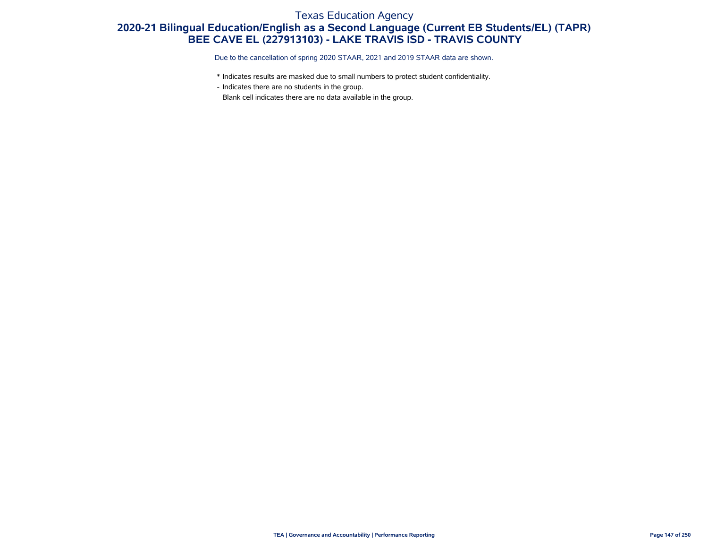# Texas Education Agency **2020-21 Bilingual Education/English as a Second Language (Current EB Students/EL) (TAPR) BEE CAVE EL (227913103) - LAKE TRAVIS ISD - TRAVIS COUNTY**

Due to the cancellation of spring 2020 STAAR, 2021 and 2019 STAAR data are shown.

- \* Indicates results are masked due to small numbers to protect student confidentiality.
- Indicates there are no students in the group.

Blank cell indicates there are no data available in the group.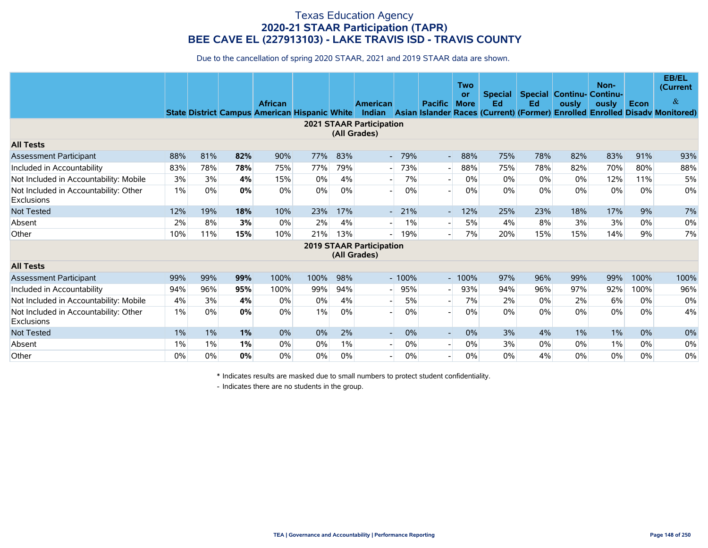Due to the cancellation of spring 2020 STAAR, 2021 and 2019 STAAR data are shown.

|                                                            |       |     |     | <b>African</b><br><b>State District Campus American Hispanic White</b> |      |     | American                                        |         | <b>Pacific</b>           | <b>Two</b><br>or<br><b>More</b> | <b>Special</b><br>Ed | Ed  | <b>Special Continu- Continu-</b><br>ously | Non-<br>ously | Econ  | <b>EB/EL</b><br>(Current<br>$\&$<br>Indian Asian Islander Races (Current) (Former) Enrolled Enrolled Disady Monitored) |
|------------------------------------------------------------|-------|-----|-----|------------------------------------------------------------------------|------|-----|-------------------------------------------------|---------|--------------------------|---------------------------------|----------------------|-----|-------------------------------------------|---------------|-------|------------------------------------------------------------------------------------------------------------------------|
|                                                            |       |     |     |                                                                        |      |     | <b>2021 STAAR Participation</b><br>(All Grades) |         |                          |                                 |                      |     |                                           |               |       |                                                                                                                        |
| <b>All Tests</b>                                           |       |     |     |                                                                        |      |     |                                                 |         |                          |                                 |                      |     |                                           |               |       |                                                                                                                        |
| Assessment Participant                                     | 88%   | 81% | 82% | 90%                                                                    | 77%  | 83% | $\overline{a}$                                  | 79%     | $\overline{\phantom{a}}$ | 88%                             | 75%                  | 78% | 82%                                       | 83%           | 91%   | 93%                                                                                                                    |
| Included in Accountability                                 | 83%   | 78% | 78% | 75%                                                                    | 77%  | 79% |                                                 | 73%     |                          | 88%                             | 75%                  | 78% | 82%                                       | 70%           | 80%   | 88%                                                                                                                    |
| Not Included in Accountability: Mobile                     | 3%    | 3%  | 4%  | 15%                                                                    | 0%   | 4%  |                                                 | 7%      |                          | $0\%$                           | $0\%$                | 0%  | 0%                                        | 12%           | 11%   | 5%                                                                                                                     |
| Not Included in Accountability: Other<br><b>Exclusions</b> | 1%    | 0%  | 0%  | 0%                                                                     | 0%   | 0%  |                                                 | 0%      |                          | 0%                              | 0%                   | 0%  | 0%                                        | 0%            | 0%    | 0%                                                                                                                     |
| <b>Not Tested</b>                                          | 12%   | 19% | 18% | 10%                                                                    | 23%  | 17% |                                                 | 21%     |                          | 12%                             | 25%                  | 23% | 18%                                       | 17%           | 9%    | 7%                                                                                                                     |
| Absent                                                     | 2%    | 8%  | 3%  | 0%                                                                     | 2%   | 4%  |                                                 | 1%      |                          | 5%                              | 4%                   | 8%  | 3%                                        | 3%            | 0%    | 0%                                                                                                                     |
| Other                                                      | 10%   | 11% | 15% | 10%                                                                    | 21%  | 13% |                                                 | 19%     |                          | 7%                              | 20%                  | 15% | 15%                                       | 14%           | 9%    | 7%                                                                                                                     |
|                                                            |       |     |     |                                                                        |      |     | <b>2019 STAAR Participation</b><br>(All Grades) |         |                          |                                 |                      |     |                                           |               |       |                                                                                                                        |
| <b>All Tests</b>                                           |       |     |     |                                                                        |      |     |                                                 |         |                          |                                 |                      |     |                                           |               |       |                                                                                                                        |
| <b>Assessment Participant</b>                              | 99%   | 99% | 99% | 100%                                                                   | 100% | 98% |                                                 | $-100%$ |                          | $-100%$                         | 97%                  | 96% | 99%                                       | 99%           | 100%  | 100%                                                                                                                   |
| Included in Accountability                                 | 94%   | 96% | 95% | 100%                                                                   | 99%  | 94% |                                                 | 95%     | $\overline{\phantom{a}}$ | 93%                             | 94%                  | 96% | 97%                                       | 92%           | 100%  | 96%                                                                                                                    |
| Not Included in Accountability: Mobile                     | 4%    | 3%  | 4%  | 0%                                                                     | 0%   | 4%  | $\sim$                                          | 5%      |                          | 7%                              | 2%                   | 0%  | 2%                                        | 6%            | $0\%$ | 0%                                                                                                                     |
| Not Included in Accountability: Other<br><b>Exclusions</b> | 1%    | 0%  | 0%  | 0%                                                                     | 1%   | 0%  |                                                 | 0%      |                          | 0%                              | $0\%$                | 0%  | 0%                                        | $0\%$         | 0%    | 4%                                                                                                                     |
| <b>Not Tested</b>                                          | $1\%$ | 1%  | 1%  | 0%                                                                     | 0%   | 2%  | $\overline{\phantom{a}}$                        | 0%      | $\overline{\phantom{0}}$ | 0%                              | 3%                   | 4%  | $1\%$                                     | 1%            | 0%    | 0%                                                                                                                     |
| Absent                                                     | $1\%$ | 1%  | 1%  | 0%                                                                     | 0%   | 1%  | $\blacksquare$                                  | 0%      | $\overline{\phantom{0}}$ | $0\%$                           | 3%                   | 0%  | 0%                                        | $1\%$         | 0%    | 0%                                                                                                                     |
| Other                                                      | 0%    | 0%  | 0%  | 0%                                                                     | 0%   | 0%  |                                                 | 0%      |                          | $0\%$                           | $0\%$                | 4%  | 0%                                        | 0%            | 0%    | 0%                                                                                                                     |

\* Indicates results are masked due to small numbers to protect student confidentiality.

- Indicates there are no students in the group.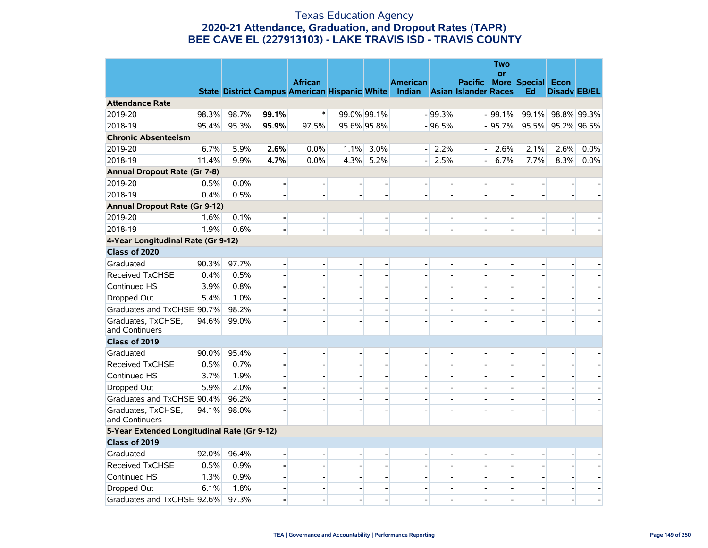#### Texas Education Agency **2020-21 Attendance, Graduation, and Dropout Rates (TAPR) BEE CAVE EL (227913103) - LAKE TRAVIS ISD - TRAVIS COUNTY**

|                                             |       |       |                | <b>African</b>                                |                          |                | <b>American</b>             |                          | <b>Pacific</b>           | <b>Two</b><br>or | More Special Econ        |                     |      |
|---------------------------------------------|-------|-------|----------------|-----------------------------------------------|--------------------------|----------------|-----------------------------|--------------------------|--------------------------|------------------|--------------------------|---------------------|------|
|                                             |       |       |                | State District Campus American Hispanic White |                          |                | Indian Asian Islander Races |                          |                          |                  | Ed                       | <b>Disady EB/EL</b> |      |
| <b>Attendance Rate</b>                      |       |       |                |                                               |                          |                |                             |                          |                          |                  |                          |                     |      |
| 2019-20                                     | 98.3% | 98.7% | 99.1%          | $\ast$                                        |                          | 99.0% 99.1%    |                             | $-99.3%$                 |                          | $-99.1%$         |                          | 99.1% 98.8% 99.3%   |      |
| 2018-19                                     | 95.4% | 95.3% | 95.9%          | 97.5%                                         |                          | 95.6% 95.8%    |                             | $-96.5%$                 |                          | $-95.7%$         |                          | 95.5% 95.2% 96.5%   |      |
| <b>Chronic Absenteeism</b>                  |       |       |                |                                               |                          |                |                             |                          |                          |                  |                          |                     |      |
| 2019-20                                     | 6.7%  | 5.9%  | 2.6%           | $0.0\%$                                       | 1.1%                     | 3.0%           | $\overline{a}$              | 2.2%                     | $\overline{\phantom{a}}$ | 2.6%             | 2.1%                     | 2.6%                | 0.0% |
| 2018-19                                     | 11.4% | 9.9%  | 4.7%           | 0.0%                                          | 4.3%                     | 5.2%           |                             | 2.5%                     | $\blacksquare$           | 6.7%             | 7.7%                     | 8.3%                | 0.0% |
| <b>Annual Dropout Rate (Gr 7-8)</b>         |       |       |                |                                               |                          |                |                             |                          |                          |                  |                          |                     |      |
| 2019-20                                     | 0.5%  | 0.0%  |                |                                               | $\overline{a}$           |                | $\overline{\phantom{a}}$    |                          |                          |                  | $\overline{a}$           |                     |      |
| 2018-19                                     | 0.4%  | 0.5%  |                |                                               | $\blacksquare$           |                |                             | $\overline{\phantom{a}}$ |                          |                  | $\overline{\phantom{0}}$ |                     |      |
| <b>Annual Dropout Rate (Gr 9-12)</b>        |       |       |                |                                               |                          |                |                             |                          |                          |                  |                          |                     |      |
| 2019-20                                     | 1.6%  | 0.1%  |                |                                               | $\overline{\phantom{m}}$ | $\overline{a}$ | $\overline{a}$              | $\overline{a}$           |                          |                  | $\overline{\phantom{0}}$ | $\overline{a}$      |      |
| 2018-19                                     | 1.9%  | 0.6%  |                |                                               | $\overline{a}$           |                |                             |                          |                          |                  | $\overline{a}$           |                     |      |
| 4-Year Longitudinal Rate (Gr 9-12)          |       |       |                |                                               |                          |                |                             |                          |                          |                  |                          |                     |      |
| Class of 2020                               |       |       |                |                                               |                          |                |                             |                          |                          |                  |                          |                     |      |
| Graduated                                   | 90.3% | 97.7% | $\blacksquare$ |                                               | $\overline{a}$           |                | $\overline{a}$              | $\overline{\phantom{a}}$ |                          | $\overline{a}$   | $\overline{\phantom{0}}$ |                     |      |
| <b>Received TxCHSE</b>                      | 0.4%  | 0.5%  |                |                                               | $\overline{\phantom{0}}$ |                |                             |                          |                          |                  |                          |                     |      |
| Continued HS                                | 3.9%  | 0.8%  |                | $\overline{a}$                                | $\overline{\phantom{0}}$ |                | $\overline{a}$              |                          |                          | $\overline{a}$   | $\overline{\phantom{a}}$ |                     |      |
| Dropped Out                                 | 5.4%  | 1.0%  |                |                                               | $\overline{\phantom{a}}$ |                |                             |                          |                          |                  |                          |                     |      |
| Graduates and TxCHSE 90.7%                  |       | 98.2% |                |                                               | $\overline{a}$           |                |                             |                          |                          |                  |                          |                     |      |
| Graduates, TxCHSE,<br>and Continuers        | 94.6% | 99.0% |                |                                               | $\overline{a}$           |                |                             |                          |                          |                  |                          |                     |      |
| Class of 2019                               |       |       |                |                                               |                          |                |                             |                          |                          |                  |                          |                     |      |
| Graduated                                   | 90.0% | 95.4% |                |                                               | $\overline{\phantom{a}}$ | $\overline{a}$ | $\overline{a}$              | $\overline{a}$           |                          | $\overline{a}$   | $\overline{\phantom{a}}$ |                     |      |
| <b>Received TxCHSE</b>                      | 0.5%  | 0.7%  |                |                                               |                          |                |                             |                          |                          |                  | $\overline{\phantom{a}}$ |                     |      |
| Continued HS                                | 3.7%  | 1.9%  | ÷              |                                               | $\overline{a}$           |                |                             |                          |                          |                  | $\overline{a}$           |                     |      |
| Dropped Out                                 | 5.9%  | 2.0%  |                |                                               | $\overline{a}$           |                |                             |                          |                          |                  | $\overline{\phantom{0}}$ |                     |      |
| Graduates and TxCHSE 90.4%                  |       | 96.2% |                |                                               | $\blacksquare$           |                |                             |                          |                          |                  | $\overline{a}$           |                     |      |
| Graduates, TxCHSE,<br>and Continuers        | 94.1% | 98.0% |                |                                               |                          |                |                             |                          |                          |                  |                          |                     |      |
| 5-Year Extended Longitudinal Rate (Gr 9-12) |       |       |                |                                               |                          |                |                             |                          |                          |                  |                          |                     |      |
| Class of 2019                               |       |       |                |                                               |                          |                |                             |                          |                          |                  |                          |                     |      |
| Graduated                                   | 92.0% | 96.4% | $\blacksquare$ |                                               | $\overline{a}$           |                | $\overline{a}$              | $\overline{a}$           |                          | $\overline{a}$   | $\overline{a}$           |                     |      |
| <b>Received TxCHSE</b>                      | 0.5%  | 0.9%  |                |                                               | $\overline{a}$           |                |                             |                          |                          |                  |                          |                     |      |
| Continued HS                                | 1.3%  | 0.9%  |                |                                               | $\overline{\phantom{a}}$ |                | $\blacksquare$              | $\blacksquare$           |                          |                  | $\blacksquare$           |                     |      |
| Dropped Out                                 | 6.1%  | 1.8%  |                | $\overline{\phantom{0}}$                      | $\overline{\phantom{a}}$ |                | $\overline{\phantom{0}}$    | $\overline{\phantom{a}}$ |                          | $\overline{a}$   | $\blacksquare$           |                     |      |
| Graduates and TxCHSE 92.6%                  |       | 97.3% |                |                                               | $\overline{\phantom{a}}$ |                |                             | $\overline{\phantom{a}}$ |                          |                  | $\blacksquare$           |                     |      |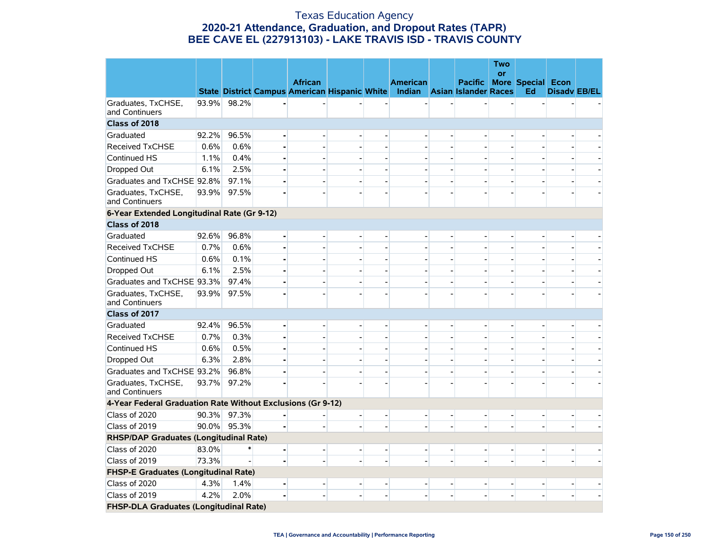### Texas Education Agency **2020-21 Attendance, Graduation, and Dropout Rates (TAPR) BEE CAVE EL (227913103) - LAKE TRAVIS ISD - TRAVIS COUNTY**

|                                                             |       |             |   |                                                      |                          |                |                             |                | <b>Two</b><br><b>or</b> |                          |                     |        |
|-------------------------------------------------------------|-------|-------------|---|------------------------------------------------------|--------------------------|----------------|-----------------------------|----------------|-------------------------|--------------------------|---------------------|--------|
|                                                             |       |             |   | <b>African</b>                                       |                          |                | <b>American</b>             | <b>Pacific</b> |                         | <b>More Special Econ</b> |                     |        |
|                                                             |       |             |   | <b>State District Campus American Hispanic White</b> |                          |                | Indian Asian Islander Races |                |                         | Ed                       | <b>Disady EB/EL</b> |        |
| Graduates, TxCHSE,<br>and Continuers                        | 93.9% | 98.2%       |   |                                                      |                          |                |                             |                |                         |                          |                     |        |
| Class of 2018                                               |       |             |   |                                                      |                          |                |                             |                |                         |                          |                     |        |
| Graduated                                                   | 92.2% | 96.5%       |   |                                                      |                          |                |                             |                |                         |                          |                     |        |
| <b>Received TxCHSE</b>                                      | 0.6%  | 0.6%        |   |                                                      |                          |                |                             |                |                         |                          |                     |        |
| Continued HS                                                | 1.1%  | 0.4%        |   |                                                      |                          |                |                             |                |                         |                          |                     |        |
| Dropped Out                                                 | 6.1%  | 2.5%        | ۰ |                                                      | $\overline{\phantom{0}}$ |                |                             |                |                         | $\overline{\phantom{0}}$ |                     |        |
| Graduates and TxCHSE 92.8%                                  |       | 97.1%       |   |                                                      |                          |                |                             |                |                         |                          |                     |        |
| Graduates, TxCHSE,<br>and Continuers                        | 93.9% | 97.5%       |   |                                                      |                          |                |                             |                |                         |                          |                     |        |
| 6-Year Extended Longitudinal Rate (Gr 9-12)                 |       |             |   |                                                      |                          |                |                             |                |                         |                          |                     |        |
| Class of 2018                                               |       |             |   |                                                      |                          |                |                             |                |                         |                          |                     |        |
| Graduated                                                   | 92.6% | 96.8%       |   |                                                      |                          |                |                             |                |                         |                          |                     |        |
| <b>Received TxCHSE</b>                                      | 0.7%  | 0.6%        |   |                                                      |                          |                |                             |                |                         |                          |                     |        |
| Continued HS                                                | 0.6%  | 0.1%        |   |                                                      |                          |                |                             |                |                         |                          |                     |        |
| Dropped Out                                                 | 6.1%  | 2.5%        |   |                                                      |                          |                |                             |                |                         |                          |                     |        |
| Graduates and TxCHSE 93.3%                                  |       | 97.4%       |   |                                                      |                          |                |                             |                |                         |                          |                     |        |
| Graduates, TxCHSE,<br>and Continuers                        | 93.9% | 97.5%       |   |                                                      |                          |                |                             |                |                         |                          |                     |        |
| Class of 2017                                               |       |             |   |                                                      |                          |                |                             |                |                         |                          |                     |        |
| Graduated                                                   | 92.4% | 96.5%       |   |                                                      | $\overline{a}$           |                |                             |                |                         |                          |                     |        |
| <b>Received TxCHSE</b>                                      | 0.7%  | 0.3%        |   |                                                      |                          |                |                             |                |                         |                          |                     |        |
| Continued HS                                                | 0.6%  | 0.5%        |   |                                                      | $\overline{\phantom{a}}$ |                |                             |                |                         | $\overline{a}$           |                     | $\sim$ |
| Dropped Out                                                 | 6.3%  | 2.8%        |   |                                                      |                          |                |                             |                |                         |                          |                     |        |
| Graduates and TxCHSE 93.2%                                  |       | 96.8%       |   |                                                      |                          |                |                             |                |                         |                          |                     |        |
| Graduates, TxCHSE,<br>and Continuers                        | 93.7% | 97.2%       |   |                                                      |                          |                |                             |                |                         |                          |                     |        |
| 4-Year Federal Graduation Rate Without Exclusions (Gr 9-12) |       |             |   |                                                      |                          |                |                             |                |                         |                          |                     |        |
| Class of 2020                                               |       | 90.3% 97.3% |   |                                                      | $\overline{\phantom{a}}$ |                | $\overline{\phantom{a}}$    |                |                         | $\overline{\phantom{a}}$ |                     |        |
| Class of 2019                                               |       | 90.0% 95.3% |   |                                                      |                          |                |                             |                |                         |                          |                     |        |
| RHSP/DAP Graduates (Longitudinal Rate)                      |       |             |   |                                                      |                          |                |                             |                |                         |                          |                     |        |
| Class of 2020                                               | 83.0% |             |   |                                                      | $\overline{a}$           |                |                             |                |                         | $\overline{a}$           |                     |        |
| Class of 2019                                               | 73.3% |             |   |                                                      | $\overline{a}$           | $\overline{a}$ | $\overline{a}$              |                |                         | $\overline{a}$           | $\overline{a}$      |        |
| <b>FHSP-E Graduates (Longitudinal Rate)</b>                 |       |             |   |                                                      |                          |                |                             |                |                         |                          |                     |        |
| Class of 2020                                               | 4.3%  | 1.4%        |   |                                                      |                          |                |                             |                |                         |                          |                     |        |
| Class of 2019                                               | 4.2%  | 2.0%        |   |                                                      |                          |                |                             |                |                         |                          |                     |        |
| <b>FHSP-DLA Graduates (Longitudinal Rate)</b>               |       |             |   |                                                      |                          |                |                             |                |                         |                          |                     |        |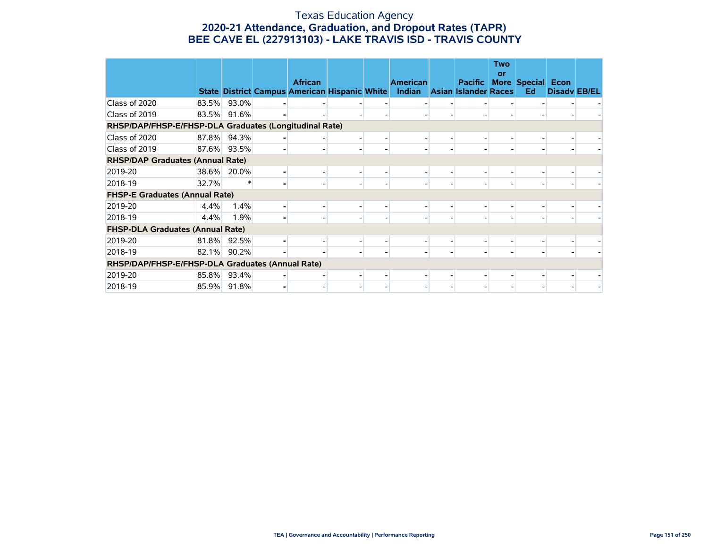### Texas Education Agency **2020-21 Attendance, Graduation, and Dropout Rates (TAPR) BEE CAVE EL (227913103) - LAKE TRAVIS ISD - TRAVIS COUNTY**

|                                                        |       |             |                                                                        |  |                                  |                                               | <b>Two</b><br>or |                                |                     |  |
|--------------------------------------------------------|-------|-------------|------------------------------------------------------------------------|--|----------------------------------|-----------------------------------------------|------------------|--------------------------------|---------------------|--|
|                                                        |       |             | <b>African</b><br><b>State District Campus American Hispanic White</b> |  | <b>American</b><br><b>Indian</b> | <b>Pacific</b><br><b>Asian Islander Races</b> |                  | <b>More Special Econ</b><br>Ed | <b>Disady EB/EL</b> |  |
| Class of 2020                                          | 83.5% | 93.0%       |                                                                        |  |                                  |                                               |                  |                                |                     |  |
| Class of 2019                                          | 83.5% | 91.6%       |                                                                        |  |                                  |                                               |                  |                                |                     |  |
| RHSP/DAP/FHSP-E/FHSP-DLA Graduates (Longitudinal Rate) |       |             |                                                                        |  |                                  |                                               |                  |                                |                     |  |
| Class of 2020                                          |       | 87.8% 94.3% |                                                                        |  |                                  |                                               |                  |                                |                     |  |
| Class of 2019                                          |       | 87.6% 93.5% |                                                                        |  |                                  |                                               |                  |                                |                     |  |
| <b>RHSP/DAP Graduates (Annual Rate)</b>                |       |             |                                                                        |  |                                  |                                               |                  |                                |                     |  |
| 2019-20                                                | 38.6% | 20.0%       |                                                                        |  |                                  |                                               |                  |                                |                     |  |
| 2018-19                                                | 32.7% |             |                                                                        |  |                                  |                                               |                  |                                |                     |  |
| <b>FHSP-E Graduates (Annual Rate)</b>                  |       |             |                                                                        |  |                                  |                                               |                  |                                |                     |  |
| 2019-20                                                | 4.4%  | 1.4%        |                                                                        |  |                                  |                                               |                  |                                |                     |  |
| 2018-19                                                | 4.4%  | 1.9%        |                                                                        |  |                                  |                                               |                  |                                |                     |  |
| <b>FHSP-DLA Graduates (Annual Rate)</b>                |       |             |                                                                        |  |                                  |                                               |                  |                                |                     |  |
| 2019-20                                                | 81.8% | 92.5%       |                                                                        |  |                                  |                                               |                  |                                |                     |  |
| 2018-19                                                | 82.1% | 90.2%       |                                                                        |  |                                  |                                               |                  |                                |                     |  |
| RHSP/DAP/FHSP-E/FHSP-DLA Graduates (Annual Rate)       |       |             |                                                                        |  |                                  |                                               |                  |                                |                     |  |
| 2019-20                                                | 85.8% | 93.4%       |                                                                        |  |                                  |                                               |                  |                                |                     |  |
| 2018-19                                                |       | 85.9% 91.8% |                                                                        |  |                                  |                                               |                  |                                |                     |  |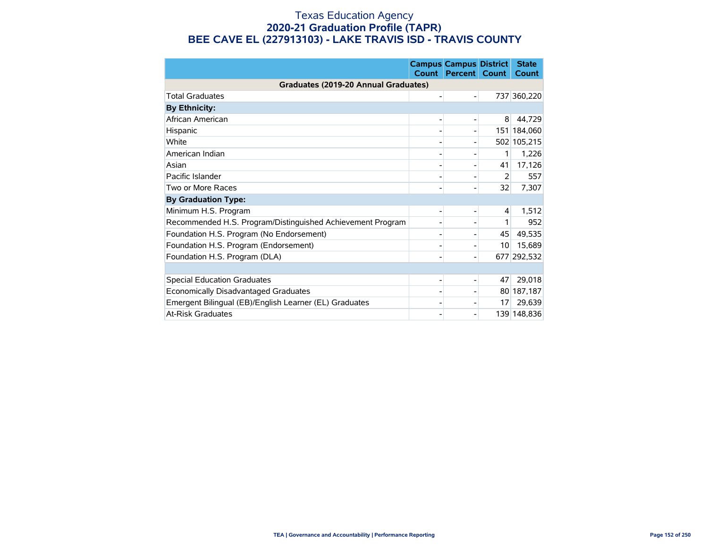#### Texas Education Agency **2020-21 Graduation Profile (TAPR) BEE CAVE EL (227913103) - LAKE TRAVIS ISD - TRAVIS COUNTY**

|                                                            | <b>Count</b> | <b>Campus Campus District</b><br><b>Percent</b> | Count          | <b>State</b><br><b>Count</b> |
|------------------------------------------------------------|--------------|-------------------------------------------------|----------------|------------------------------|
| Graduates (2019-20 Annual Graduates)                       |              |                                                 |                |                              |
| <b>Total Graduates</b>                                     |              |                                                 |                | 737 360,220                  |
| <b>By Ethnicity:</b>                                       |              |                                                 |                |                              |
| African American                                           |              |                                                 | 8              | 44,729                       |
| Hispanic                                                   |              |                                                 |                | 151 184,060                  |
| White                                                      |              |                                                 |                | 502 105,215                  |
| American Indian                                            |              |                                                 | 1              | 1,226                        |
| Asian                                                      |              |                                                 | 41             | 17,126                       |
| Pacific Islander                                           |              |                                                 | $\overline{2}$ | 557                          |
| Two or More Races                                          |              |                                                 | 32             | 7,307                        |
| <b>By Graduation Type:</b>                                 |              |                                                 |                |                              |
| Minimum H.S. Program                                       |              |                                                 | 4              | 1,512                        |
| Recommended H.S. Program/Distinguished Achievement Program |              |                                                 |                | 952                          |
| Foundation H.S. Program (No Endorsement)                   |              |                                                 | 45             | 49,535                       |
| Foundation H.S. Program (Endorsement)                      |              |                                                 | 10             | 15,689                       |
| Foundation H.S. Program (DLA)                              |              |                                                 |                | 677 292,532                  |
|                                                            |              |                                                 |                |                              |
| <b>Special Education Graduates</b>                         |              |                                                 | 47             | 29,018                       |
| Economically Disadvantaged Graduates                       |              |                                                 |                | 80 187,187                   |
| Emergent Bilingual (EB)/English Learner (EL) Graduates     |              |                                                 | 17             | 29,639                       |
| <b>At-Risk Graduates</b>                                   |              |                                                 |                | 139 148,836                  |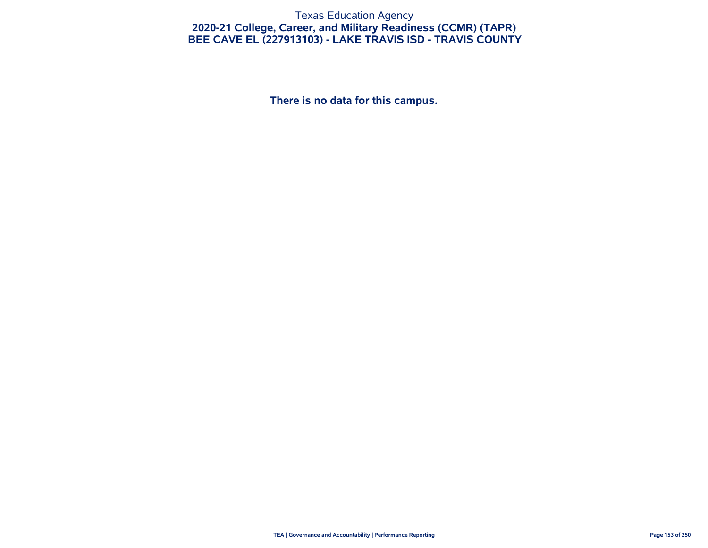## Texas Education Agency **2020-21 College, Career, and Military Readiness (CCMR) (TAPR) BEE CAVE EL (227913103) - LAKE TRAVIS ISD - TRAVIS COUNTY**

**There is no data for this campus.**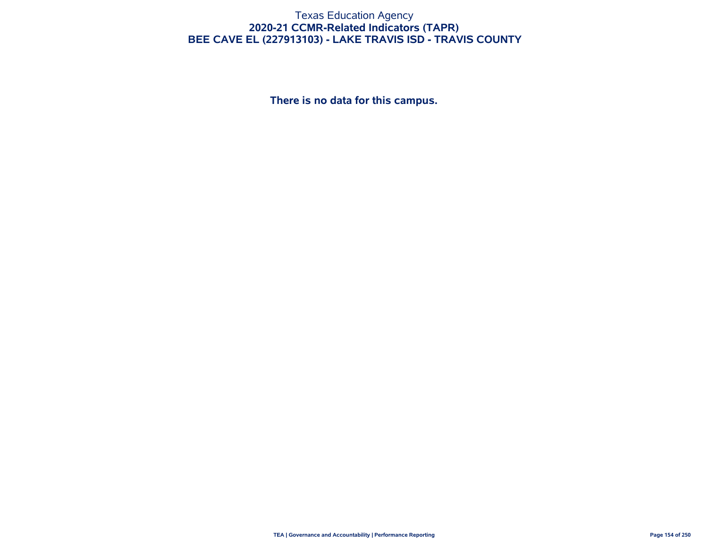## Texas Education Agency **2020-21 CCMR-Related Indicators (TAPR) BEE CAVE EL (227913103) - LAKE TRAVIS ISD - TRAVIS COUNTY**

**There is no data for this campus.**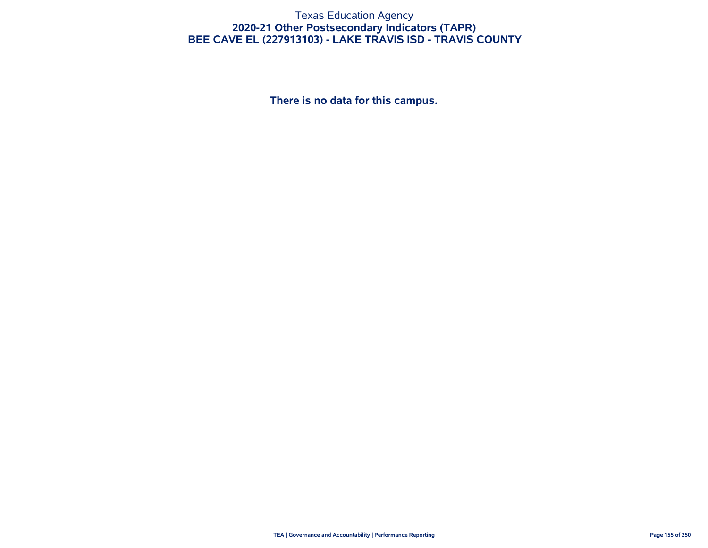#### Texas Education Agency **2020-21 Other Postsecondary Indicators (TAPR) BEE CAVE EL (227913103) - LAKE TRAVIS ISD - TRAVIS COUNTY**

**There is no data for this campus.**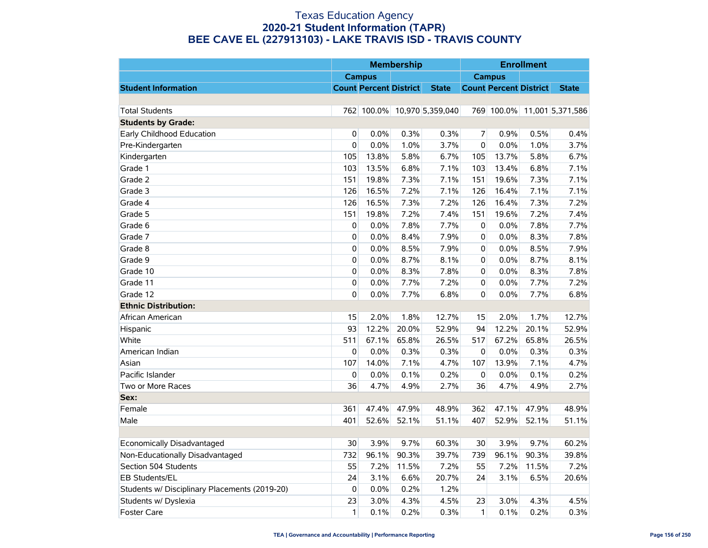|                                               |              |                               | <b>Membership</b> |                             |              |                               | <b>Enrollment</b> |                             |
|-----------------------------------------------|--------------|-------------------------------|-------------------|-----------------------------|--------------|-------------------------------|-------------------|-----------------------------|
|                                               |              | <b>Campus</b>                 |                   |                             |              | <b>Campus</b>                 |                   |                             |
| <b>Student Information</b>                    |              | <b>Count Percent District</b> |                   | <b>State</b>                |              | <b>Count Percent District</b> |                   | <b>State</b>                |
|                                               |              |                               |                   |                             |              |                               |                   |                             |
| <b>Total Students</b>                         |              |                               |                   | 762 100.0% 10,970 5,359,040 |              |                               |                   | 769 100.0% 11,001 5,371,586 |
| <b>Students by Grade:</b>                     |              |                               |                   |                             |              |                               |                   |                             |
| Early Childhood Education                     | 0            | 0.0%                          | 0.3%              | 0.3%                        | 7            | 0.9%                          | 0.5%              | 0.4%                        |
| Pre-Kindergarten                              | $\mathbf{0}$ | 0.0%                          | 1.0%              | 3.7%                        | 0            | 0.0%                          | 1.0%              | 3.7%                        |
| Kindergarten                                  | 105          | 13.8%                         | 5.8%              | 6.7%                        | 105          | 13.7%                         | 5.8%              | 6.7%                        |
| Grade 1                                       | 103          | 13.5%                         | 6.8%              | 7.1%                        | 103          | 13.4%                         | 6.8%              | 7.1%                        |
| Grade 2                                       | 151          | 19.8%                         | 7.3%              | 7.1%                        | 151          | 19.6%                         | 7.3%              | 7.1%                        |
| Grade 3                                       | 126          | 16.5%                         | 7.2%              | 7.1%                        | 126          | 16.4%                         | 7.1%              | 7.1%                        |
| Grade 4                                       | 126          | 16.5%                         | 7.3%              | 7.2%                        | 126          | 16.4%                         | 7.3%              | 7.2%                        |
| Grade 5                                       | 151          | 19.8%                         | 7.2%              | 7.4%                        | 151          | 19.6%                         | 7.2%              | 7.4%                        |
| Grade 6                                       | 0            | 0.0%                          | 7.8%              | 7.7%                        | 0            | 0.0%                          | 7.8%              | 7.7%                        |
| Grade 7                                       | 0            | 0.0%                          | 8.4%              | 7.9%                        | 0            | 0.0%                          | 8.3%              | 7.8%                        |
| Grade 8                                       | 0            | 0.0%                          | 8.5%              | 7.9%                        | 0            | 0.0%                          | 8.5%              | 7.9%                        |
| Grade 9                                       | 0            | 0.0%                          | 8.7%              | 8.1%                        | 0            | 0.0%                          | 8.7%              | 8.1%                        |
| Grade 10                                      | 0            | 0.0%                          | 8.3%              | 7.8%                        | 0            | 0.0%                          | 8.3%              | 7.8%                        |
| Grade 11                                      | $\mathbf 0$  | 0.0%                          | 7.7%              | 7.2%                        | 0            | 0.0%                          | 7.7%              | 7.2%                        |
| Grade 12                                      | $\mathbf 0$  | 0.0%                          | 7.7%              | 6.8%                        | 0            | 0.0%                          | 7.7%              | 6.8%                        |
| <b>Ethnic Distribution:</b>                   |              |                               |                   |                             |              |                               |                   |                             |
| African American                              | 15           | 2.0%                          | 1.8%              | 12.7%                       | 15           | 2.0%                          | 1.7%              | 12.7%                       |
| Hispanic                                      | 93           | 12.2%                         | 20.0%             | 52.9%                       | 94           | 12.2%                         | 20.1%             | 52.9%                       |
| White                                         | 511          | 67.1%                         | 65.8%             | 26.5%                       | 517          | 67.2%                         | 65.8%             | 26.5%                       |
| American Indian                               | 0            | 0.0%                          | 0.3%              | 0.3%                        | 0            | 0.0%                          | 0.3%              | 0.3%                        |
| Asian                                         | 107          | 14.0%                         | 7.1%              | 4.7%                        | 107          | 13.9%                         | 7.1%              | 4.7%                        |
| Pacific Islander                              | 0            | 0.0%                          | 0.1%              | 0.2%                        | $\mathbf 0$  | 0.0%                          | 0.1%              | 0.2%                        |
| Two or More Races                             | 36           | 4.7%                          | 4.9%              | 2.7%                        | 36           | 4.7%                          | 4.9%              | 2.7%                        |
| Sex:                                          |              |                               |                   |                             |              |                               |                   |                             |
| Female                                        | 361          | 47.4%                         | 47.9%             | 48.9%                       | 362          | 47.1%                         | 47.9%             | 48.9%                       |
| Male                                          | 401          | 52.6%                         | 52.1%             | 51.1%                       | 407          | 52.9%                         | 52.1%             | 51.1%                       |
|                                               |              |                               |                   |                             |              |                               |                   |                             |
| Economically Disadvantaged                    | 30           | 3.9%                          | 9.7%              | 60.3%                       | 30           | 3.9%                          | 9.7%              | 60.2%                       |
| Non-Educationally Disadvantaged               | 732          | 96.1%                         | 90.3%             | 39.7%                       | 739          | 96.1%                         | 90.3%             | 39.8%                       |
| Section 504 Students                          | 55           | 7.2%                          | 11.5%             | 7.2%                        | 55           | 7.2%                          | 11.5%             | 7.2%                        |
| EB Students/EL                                | 24           | 3.1%                          | 6.6%              | 20.7%                       | 24           | 3.1%                          | 6.5%              | 20.6%                       |
| Students w/ Disciplinary Placements (2019-20) | 0            | 0.0%                          | 0.2%              | 1.2%                        |              |                               |                   |                             |
| Students w/ Dyslexia                          | 23           | 3.0%                          | 4.3%              | 4.5%                        | 23           | 3.0%                          | 4.3%              | 4.5%                        |
| <b>Foster Care</b>                            | $\mathbf{1}$ | 0.1%                          | 0.2%              | 0.3%                        | $\mathbf{1}$ | 0.1%                          | 0.2%              | 0.3%                        |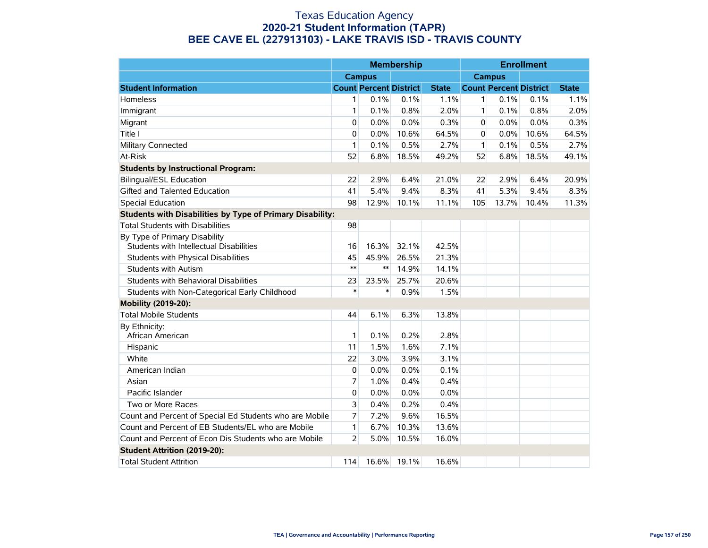|                                                                          | <b>Membership</b> |                               |       | <b>Enrollment</b> |               |                               |       |              |
|--------------------------------------------------------------------------|-------------------|-------------------------------|-------|-------------------|---------------|-------------------------------|-------|--------------|
|                                                                          |                   | <b>Campus</b>                 |       |                   | <b>Campus</b> |                               |       |              |
| <b>Student Information</b>                                               |                   | <b>Count Percent District</b> |       | <b>State</b>      |               | <b>Count Percent District</b> |       | <b>State</b> |
| <b>Homeless</b>                                                          | 1                 | 0.1%                          | 0.1%  | 1.1%              | 1             | 0.1%                          | 0.1%  | 1.1%         |
| Immigrant                                                                | 1                 | 0.1%                          | 0.8%  | 2.0%              | 1             | 0.1%                          | 0.8%  | 2.0%         |
| Migrant                                                                  | 0                 | 0.0%                          | 0.0%  | 0.3%              | 0             | 0.0%                          | 0.0%  | 0.3%         |
| Title I                                                                  | $\mathbf{0}$      | 0.0%                          | 10.6% | 64.5%             | $\mathbf 0$   | 0.0%                          | 10.6% | 64.5%        |
| Military Connected                                                       | 1                 | 0.1%                          | 0.5%  | 2.7%              | 1             | 0.1%                          | 0.5%  | 2.7%         |
| At-Risk                                                                  | 52                | 6.8%                          | 18.5% | 49.2%             | 52            | 6.8%                          | 18.5% | 49.1%        |
| <b>Students by Instructional Program:</b>                                |                   |                               |       |                   |               |                               |       |              |
| <b>Bilingual/ESL Education</b>                                           | 22                | 2.9%                          | 6.4%  | 21.0%             | 22            | 2.9%                          | 6.4%  | 20.9%        |
| Gifted and Talented Education                                            | 41                | 5.4%                          | 9.4%  | 8.3%              | 41            | 5.3%                          | 9.4%  | 8.3%         |
| <b>Special Education</b>                                                 | 98                | 12.9%                         | 10.1% | 11.1%             | 105           | 13.7%                         | 10.4% | 11.3%        |
| Students with Disabilities by Type of Primary Disability:                |                   |                               |       |                   |               |                               |       |              |
| <b>Total Students with Disabilities</b>                                  | 98                |                               |       |                   |               |                               |       |              |
| By Type of Primary Disability<br>Students with Intellectual Disabilities | 16                | 16.3%                         | 32.1% | 42.5%             |               |                               |       |              |
| Students with Physical Disabilities                                      | 45                | 45.9%                         | 26.5% | 21.3%             |               |                               |       |              |
| <b>Students with Autism</b>                                              | $**$              | $**$                          | 14.9% | 14.1%             |               |                               |       |              |
| Students with Behavioral Disabilities                                    | 23                | 23.5%                         | 25.7% | 20.6%             |               |                               |       |              |
| Students with Non-Categorical Early Childhood                            | $\ast$            | $\ast$                        | 0.9%  | 1.5%              |               |                               |       |              |
| Mobility (2019-20):                                                      |                   |                               |       |                   |               |                               |       |              |
| <b>Total Mobile Students</b>                                             | 44                | 6.1%                          | 6.3%  | 13.8%             |               |                               |       |              |
| By Ethnicity:<br>African American                                        | 1                 | 0.1%                          | 0.2%  | 2.8%              |               |                               |       |              |
| Hispanic                                                                 | 11                | 1.5%                          | 1.6%  | 7.1%              |               |                               |       |              |
| White                                                                    | 22                | 3.0%                          | 3.9%  | 3.1%              |               |                               |       |              |
| American Indian                                                          | 0                 | 0.0%                          | 0.0%  | 0.1%              |               |                               |       |              |
| Asian                                                                    | 7                 | 1.0%                          | 0.4%  | 0.4%              |               |                               |       |              |
| Pacific Islander                                                         | 0                 | 0.0%                          | 0.0%  | 0.0%              |               |                               |       |              |
| Two or More Races                                                        | 3                 | 0.4%                          | 0.2%  | 0.4%              |               |                               |       |              |
| Count and Percent of Special Ed Students who are Mobile                  | 7                 | 7.2%                          | 9.6%  | 16.5%             |               |                               |       |              |
| Count and Percent of EB Students/EL who are Mobile                       | 1                 | 6.7%                          | 10.3% | 13.6%             |               |                               |       |              |
| Count and Percent of Econ Dis Students who are Mobile                    | 2                 | 5.0%                          | 10.5% | 16.0%             |               |                               |       |              |
| <b>Student Attrition (2019-20):</b>                                      |                   |                               |       |                   |               |                               |       |              |
| <b>Total Student Attrition</b>                                           | 114               | 16.6%                         | 19.1% | 16.6%             |               |                               |       |              |
|                                                                          |                   |                               |       |                   |               |                               |       |              |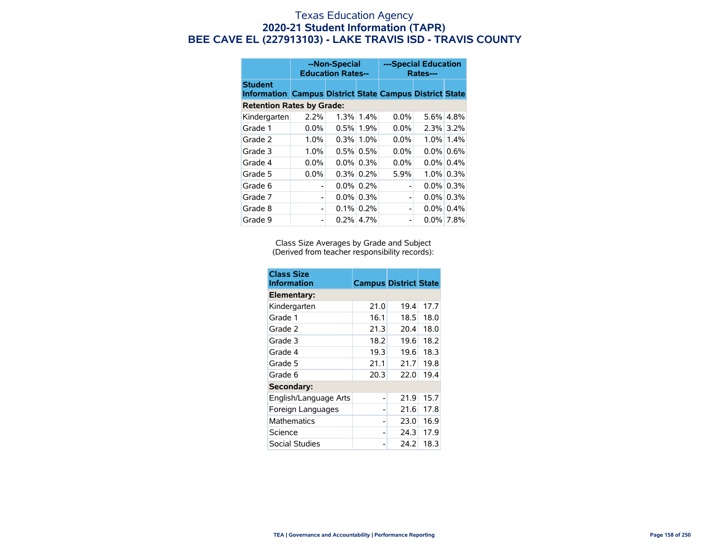|                                                                                  | --Non-Special<br><b>Education Rates--</b> |      |              | ---Special Education<br>Rates--- |         |              |  |
|----------------------------------------------------------------------------------|-------------------------------------------|------|--------------|----------------------------------|---------|--------------|--|
| <b>Student</b><br><b>Information Campus District State Campus District State</b> |                                           |      |              |                                  |         |              |  |
| <b>Retention Rates by Grade:</b>                                                 |                                           |      |              |                                  |         |              |  |
| Kindergarten                                                                     | 2.2%                                      | 1.3% | $1.4\%$      | $0.0\%$                          | 5.6%    | 4.8%         |  |
| Grade 1                                                                          | $0.0\%$                                   | 0.5% | 1.9%         | $0.0\%$                          |         | $2.3\%$ 3.2% |  |
| Grade 2                                                                          | 1.0%                                      | 0.3% | 1.0%         | $0.0\%$                          |         | $1.0\%$ 1.4% |  |
| Grade 3                                                                          | 1.0%                                      |      | $0.5\%$ 0.5% | $0.0\%$                          |         | $0.0\%$ 0.6% |  |
| Grade 4                                                                          | $0.0\%$                                   |      | $0.0\%$ 0.3% | $0.0\%$                          | $0.0\%$ | 0.4%         |  |
| Grade 5                                                                          | $0.0\%$                                   |      | $0.3\%$ 0.2% | 5.9%                             |         | $1.0\%$ 0.3% |  |
| Grade 6                                                                          |                                           |      | $0.0\%$ 0.2% | $\overline{\phantom{0}}$         | $0.0\%$ | 0.3%         |  |
| Grade 7                                                                          |                                           |      | $0.0\%$ 0.3% | $\overline{\phantom{0}}$         |         | $0.0\%$ 0.3% |  |
| Grade 8                                                                          |                                           |      | $0.1\%$ 0.2% | -                                |         | $0.0\%$ 0.4% |  |
| Grade 9                                                                          |                                           |      | $0.2\%$ 4.7% | -                                |         | $0.0\%$ 7.8% |  |

Class Size Averages by Grade and Subject (Derived from teacher responsibility records):

| <b>Class Size</b><br><b>Information</b> | <b>Campus District State</b> |      |      |
|-----------------------------------------|------------------------------|------|------|
| Elementary:                             |                              |      |      |
| Kindergarten                            | 21.0                         | 19.4 | 17.7 |
| Grade 1                                 | 16.1                         | 18.5 | 18.0 |
| Grade 2                                 | 21.3                         | 20.4 | 18.0 |
| Grade 3                                 | 18.2                         | 19.6 | 18.2 |
| Grade 4                                 | 19.3                         | 19.6 | 18.3 |
| Grade 5                                 | 21.1                         | 21.7 | 19.8 |
| Grade 6                                 | 20.3                         | 22.0 | 19.4 |
| Secondary:                              |                              |      |      |
| English/Language Arts                   |                              | 21.9 | 15.7 |
| Foreign Languages                       |                              | 21.6 | 17.8 |
| <b>Mathematics</b>                      |                              | 23.0 | 16.9 |
| Science                                 |                              | 24.3 | 17.9 |
| Social Studies                          |                              | 24.2 | 18.3 |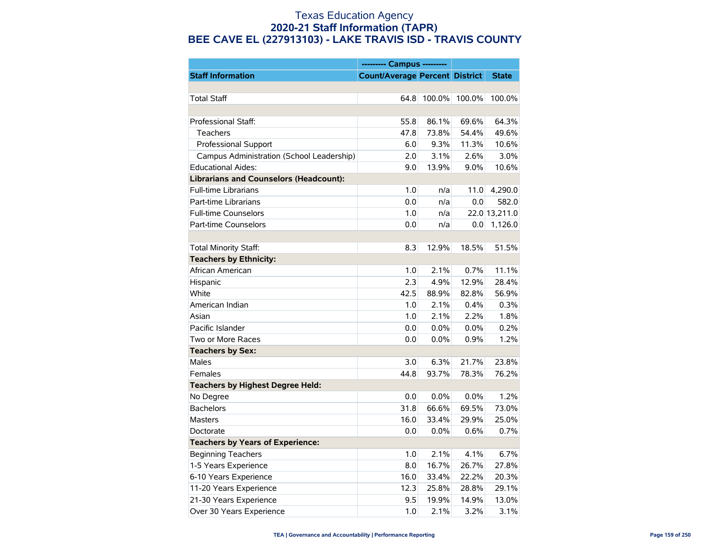|                                               | --------- Campus ---------            |        |        |               |
|-----------------------------------------------|---------------------------------------|--------|--------|---------------|
| <b>Staff Information</b>                      | <b>Count/Average Percent District</b> |        |        | <b>State</b>  |
|                                               |                                       |        |        |               |
| <b>Total Staff</b>                            | 64.8                                  | 100.0% | 100.0% | 100.0%        |
|                                               |                                       |        |        |               |
| Professional Staff:                           | 55.8                                  | 86.1%  | 69.6%  | 64.3%         |
| Teachers                                      | 47.8                                  | 73.8%  | 54.4%  | 49.6%         |
| Professional Support                          | 6.0                                   | 9.3%   | 11.3%  | 10.6%         |
| Campus Administration (School Leadership)     | 2.0                                   | 3.1%   | 2.6%   | 3.0%          |
| <b>Educational Aides:</b>                     | 9.0                                   | 13.9%  | 9.0%   | 10.6%         |
| <b>Librarians and Counselors (Headcount):</b> |                                       |        |        |               |
| <b>Full-time Librarians</b>                   | 1.0                                   | n/a    | 11.0   | 4,290.0       |
| Part-time Librarians                          | 0.0                                   | n/a    | 0.0    | 582.0         |
| <b>Full-time Counselors</b>                   | 1.0                                   | n/a    |        | 22.0 13,211.0 |
| Part-time Counselors                          | 0.0                                   | n/a    | 0.0    | 1,126.0       |
|                                               |                                       |        |        |               |
| Total Minority Staff:                         | 8.3                                   | 12.9%  | 18.5%  | 51.5%         |
| <b>Teachers by Ethnicity:</b>                 |                                       |        |        |               |
| African American                              | 1.0                                   | 2.1%   | 0.7%   | 11.1%         |
| Hispanic                                      | 2.3                                   | 4.9%   | 12.9%  | 28.4%         |
| White                                         | 42.5                                  | 88.9%  | 82.8%  | 56.9%         |
| American Indian                               | 1.0                                   | 2.1%   | 0.4%   | 0.3%          |
| Asian                                         | 1.0                                   | 2.1%   | 2.2%   | 1.8%          |
| Pacific Islander                              | 0.0                                   | 0.0%   | 0.0%   | 0.2%          |
| Two or More Races                             | 0.0                                   | 0.0%   | 0.9%   | 1.2%          |
| <b>Teachers by Sex:</b>                       |                                       |        |        |               |
| <b>Males</b>                                  | 3.0                                   | 6.3%   | 21.7%  | 23.8%         |
| Females                                       | 44.8                                  | 93.7%  | 78.3%  | 76.2%         |
| <b>Teachers by Highest Degree Held:</b>       |                                       |        |        |               |
| No Degree                                     | 0.0                                   | 0.0%   | 0.0%   | 1.2%          |
| <b>Bachelors</b>                              | 31.8                                  | 66.6%  | 69.5%  | 73.0%         |
| <b>Masters</b>                                | 16.0                                  | 33.4%  | 29.9%  | 25.0%         |
| Doctorate                                     | 0.0                                   | 0.0%   | 0.6%   | 0.7%          |
| <b>Teachers by Years of Experience:</b>       |                                       |        |        |               |
| <b>Beginning Teachers</b>                     | 1.0                                   | 2.1%   | 4.1%   | 6.7%          |
| 1-5 Years Experience                          | 8.0                                   | 16.7%  | 26.7%  | 27.8%         |
| 6-10 Years Experience                         | 16.0                                  | 33.4%  | 22.2%  | 20.3%         |
| 11-20 Years Experience                        | 12.3                                  | 25.8%  | 28.8%  | 29.1%         |
| 21-30 Years Experience                        | 9.5                                   | 19.9%  | 14.9%  | 13.0%         |
| Over 30 Years Experience                      | 1.0                                   | 2.1%   | 3.2%   | 3.1%          |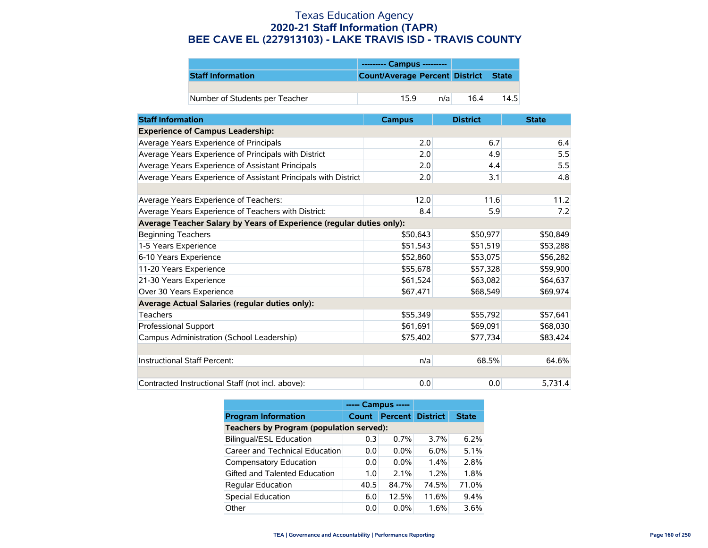|                                |                                      | --------- Campus --------- |      |      |  |
|--------------------------------|--------------------------------------|----------------------------|------|------|--|
| <b>Staff Information</b>       | Count/Average Percent District State |                            |      |      |  |
|                                |                                      |                            |      |      |  |
| Number of Students per Teacher | 159                                  | n/a                        | 16.4 | 14.5 |  |

| <b>Staff Information</b>                                             | <b>Campus</b> | <b>District</b> | <b>State</b> |
|----------------------------------------------------------------------|---------------|-----------------|--------------|
| <b>Experience of Campus Leadership:</b>                              |               |                 |              |
| Average Years Experience of Principals                               | 2.0           | 6.7             | 6.4          |
| Average Years Experience of Principals with District                 | 2.0           | 4.9             | 5.5          |
| Average Years Experience of Assistant Principals                     | 2.0           | 4.4             | 5.5          |
| Average Years Experience of Assistant Principals with District       | 2.0           | 3.1             | 4.8          |
|                                                                      |               |                 |              |
| Average Years Experience of Teachers:                                | 12.0          | 11.6            | 11.2         |
| Average Years Experience of Teachers with District:                  | 8.4           | 5.9             | 7.2          |
| Average Teacher Salary by Years of Experience (regular duties only): |               |                 |              |
| <b>Beginning Teachers</b>                                            | \$50,643      | \$50,977        | \$50,849     |
| 1-5 Years Experience                                                 | \$51,543      | \$51,519        | \$53,288     |
| 6-10 Years Experience                                                | \$52,860      | \$53,075        | \$56,282     |
| 11-20 Years Experience                                               | \$55,678      | \$57,328        | \$59,900     |
| 21-30 Years Experience                                               | \$61,524      | \$63,082        | \$64,637     |
| Over 30 Years Experience                                             | \$67,471      | \$68,549        | \$69,974     |
| Average Actual Salaries (regular duties only):                       |               |                 |              |
| <b>Teachers</b>                                                      | \$55,349      | \$55,792        | \$57,641     |
| Professional Support                                                 | \$61,691      | \$69,091        | \$68,030     |
| Campus Administration (School Leadership)                            | \$75,402      | \$77,734        | \$83,424     |
|                                                                      |               |                 |              |
| Instructional Staff Percent:                                         | n/a           | 68.5%           | 64.6%        |
|                                                                      |               |                 |              |
| Contracted Instructional Staff (not incl. above):                    | 0.0           | 0.0             | 5,731.4      |

|                                          | ----- Campus ----- |                         |         |              |  |  |
|------------------------------------------|--------------------|-------------------------|---------|--------------|--|--|
| <b>Program Information</b>               | <b>Count</b>       | <b>Percent District</b> |         | <b>State</b> |  |  |
| Teachers by Program (population served): |                    |                         |         |              |  |  |
| <b>Bilingual/ESL Education</b>           | 0.3                | 0.7%                    | 3.7%    | 6.2%         |  |  |
| Career and Technical Education           | 0.0                | 0.0%                    | 6.0%    | 5.1%         |  |  |
| Compensatory Education                   | 0.0                | $0.0\%$                 | $1.4\%$ | 2.8%         |  |  |
| Gifted and Talented Education            | 1.0                | 2.1%                    | 1.2%    | 1.8%         |  |  |
| <b>Regular Education</b>                 | 40.5               | 84.7%                   | 74.5%   | 71.0%        |  |  |
| <b>Special Education</b>                 | 6.0                | 12.5%                   | 11.6%   | 9.4%         |  |  |
| Other                                    | 0.0                | $0.0\%$                 | 1.6%    | 3.6%         |  |  |